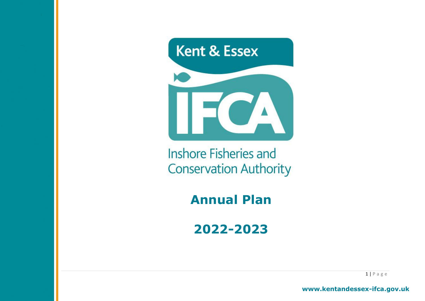

**Inshore Fisheries and Conservation Authority** 

**Annual Plan**

**2022-2023**

 $1 | P \text{ a g e}$ 

**www.kentandessex-ifca.gov.uk**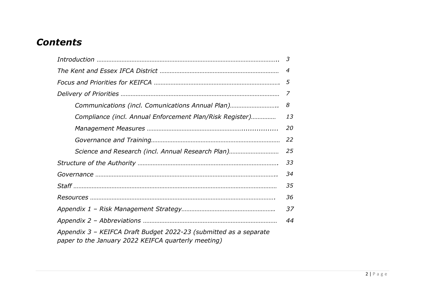## *Contents*

|                                                                                                                          | 3  |  |  |  |  |  |
|--------------------------------------------------------------------------------------------------------------------------|----|--|--|--|--|--|
| 4                                                                                                                        |    |  |  |  |  |  |
|                                                                                                                          | 5  |  |  |  |  |  |
|                                                                                                                          | 7  |  |  |  |  |  |
| Communications (incl. Comunications Annual Plan)                                                                         | 8  |  |  |  |  |  |
| Compliance (incl. Annual Enforcement Plan/Risk Register)                                                                 | 13 |  |  |  |  |  |
|                                                                                                                          | 20 |  |  |  |  |  |
|                                                                                                                          | 22 |  |  |  |  |  |
| Science and Research (incl. Annual Research Plan)                                                                        | 25 |  |  |  |  |  |
|                                                                                                                          | 33 |  |  |  |  |  |
|                                                                                                                          | 34 |  |  |  |  |  |
|                                                                                                                          | 35 |  |  |  |  |  |
|                                                                                                                          | 36 |  |  |  |  |  |
|                                                                                                                          | 37 |  |  |  |  |  |
|                                                                                                                          | 44 |  |  |  |  |  |
| Appendix 3 - KEIFCA Draft Budget 2022-23 (submitted as a separate<br>paper to the January 2022 KEIFCA quarterly meeting) |    |  |  |  |  |  |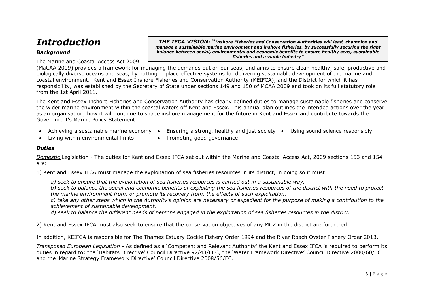## *Introduction*

## *Background*

The Marine and Coastal Access Act 2009

*THE IFCA VISION: "Inshore Fisheries and Conservation Authorities will lead, champion and manage a sustainable marine environment and inshore fisheries, by successfully securing the right balance between social, environmental and economic benefits to ensure healthy seas, sustainable fisheries and a viable industry"*

(MaCAA 2009) provides a framework for managing the demands put on our seas, and aims to ensure clean healthy, safe, productive and biologically diverse oceans and seas, by putting in place effective systems for delivering sustainable development of the marine and coastal environment. Kent and Essex Inshore Fisheries and Conservation Authority (KEIFCA), and the District for which it has responsibility, was established by the Secretary of State under sections 149 and 150 of MCAA 2009 and took on its full statutory role from the 1st April 2011.

The Kent and Essex Inshore Fisheries and Conservation Authority has clearly defined duties to manage sustainable fisheries and conserve the wider marine environment within the coastal waters off Kent and Essex. This annual plan outlines the intended actions over the year as an organisation; how it will continue to shape inshore management for the future in Kent and Essex and contribute towards the Government's Marine Policy Statement.

- 
- Achieving a sustainable marine economy Ensuring a strong, healthy and just society Using sound science responsibly
- Living within environmental limits Promoting good governance
	-

## *Duties*

*Domestic* Legislation - The duties for Kent and Essex IFCA set out within the Marine and Coastal Access Act, 2009 sections 153 and 154 are:

1) Kent and Essex IFCA must manage the exploitation of sea fisheries resources in its district, in doing so it must:

*a) seek to ensure that the exploitation of sea fisheries resources is carried out in a sustainable way.*

*b) seek to balance the social and economic benefits of exploiting the sea fisheries resources of the district with the need to protect the marine environment from, or promote its recovery from, the effects of such exploitation.*

*c) take any other steps which in the Authority's opinion are necessary or expedient for the purpose of making a contribution to the achievement of sustainable development.*

*d) seek to balance the different needs of persons engaged in the exploitation of sea fisheries resources in the district.*

2) Kent and Essex IFCA must also seek to ensure that the conservation objectives of any MCZ in the district are furthered.

In addition, KEIFCA is responsible for The Thames Estuary Cockle Fishery Order 1994 and the River Roach Oyster Fishery Order 2013.

*Transposed European Legislation -* As defined as a 'Competent and Relevant Authority' the Kent and Essex IFCA is required to perform its duties in regard to; the 'Habitats Directive' Council Directive 92/43/EEC, the 'Water Framework Directive' Council Directive 2000/60/EC and the 'Marine Strategy Framework Directive' Council Directive 2008/56/EC.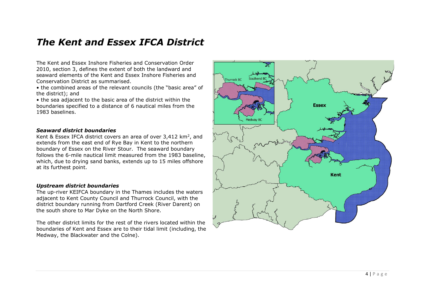## *The Kent and Essex IFCA District*

The Kent and Essex Inshore Fisheries and Conservation Order 2010, section 3, defines the extent of both the landward and seaward elements of the Kent and Essex Inshore Fisheries and Conservation District as summarised.

• the combined areas of the relevant councils (the "basic area" of the district); and

• the sea adjacent to the basic area of the district within the boundaries specified to a distance of 6 nautical miles from the 1983 baselines.

#### *Seaward district boundaries*

Kent & Essex IFCA district covers an area of over 3,412  $\text{km}^2$ , and extends from the east end of Rye Bay in Kent to the northern boundary of Essex on the River Stour. The seaward boundary follows the 6-mile nautical limit measured from the 1983 baseline, which, due to drying sand banks, extends up to 15 miles offshore at its furthest point.

#### *Upstream district boundaries*

The up-river KEIFCA boundary in the Thames includes the waters adjacent to Kent County Council and Thurrock Council, with the district boundary running from Dartford Creek (River Darent) on the south shore to Mar Dyke on the North Shore.

The other district limits for the rest of the rivers located within the boundaries of Kent and Essex are to their tidal limit (including, the Medway, the Blackwater and the Colne).

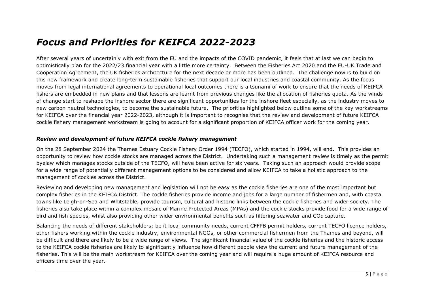## *Focus and Priorities for KEIFCA 2022-2023*

After several years of uncertainly with exit from the EU and the impacts of the COVID pandemic, it feels that at last we can begin to optimistically plan for the 2022/23 financial year with a little more certainty. Between the Fisheries Act 2020 and the EU-UK Trade and Cooperation Agreement, the UK fisheries architecture for the next decade or more has been outlined. The challenge now is to build on this new framework and create long-term sustainable fisheries that support our local industries and coastal community. As the focus moves from legal international agreements to operational local outcomes there is a tsunami of work to ensure that the needs of KEIFCA fishers are embedded in new plans and that lessons are learnt from previous changes like the allocation of fisheries quota. As the winds of change start to reshape the inshore sector there are significant opportunities for the inshore fleet especially, as the industry moves to new carbon neutral technologies, to become the sustainable future. The priorities highlighted below outline some of the key workstreams for KEIFCA over the financial year 2022-2023, although it is important to recognise that the review and development of future KEIFCA cockle fishery management workstream is going to account for a significant proportion of KEIFCA officer work for the coming year.

## *Review and development of future KEIFCA cockle fishery management*

On the 28 September 2024 the Thames Estuary Cockle Fishery Order 1994 (TECFO), which started in 1994, will end. This provides an opportunity to review how cockle stocks are managed across the District. Undertaking such a management review is timely as the permit byelaw which manages stocks outside of the TECFO, will have been active for six years. Taking such an approach would provide scope for a wide range of potentially different management options to be considered and allow KEIFCA to take a holistic approach to the management of cockles across the District.

Reviewing and developing new management and legislation will not be easy as the cockle fisheries are one of the most important but complex fisheries in the KEIFCA District. The cockle fisheries provide income and jobs for a large number of fishermen and, with coastal towns like Leigh-on-Sea and Whitstable, provide tourism, cultural and historic links between the cockle fisheries and wider society. The fisheries also take place within a complex mosaic of Marine Protected Areas (MPAs) and the cockle stocks provide food for a wide range of bird and fish species, whist also providing other wider environmental benefits such as filtering seawater and  $CO<sub>2</sub>$  capture.

Balancing the needs of different stakeholders; be it local community needs, current CFFPB permit holders, current TECFO licence holders, other fishers working within the cockle industry, environmental NGOs, or other commercial fishermen from the Thames and beyond, will be difficult and there are likely to be a wide range of views. The significant financial value of the cockle fisheries and the historic access to the KEIFCA cockle fisheries are likely to significantly influence how different people view the current and future management of the fisheries. This will be the main workstream for KEIFCA over the coming year and will require a huge amount of KEIFCA resource and officers time over the year.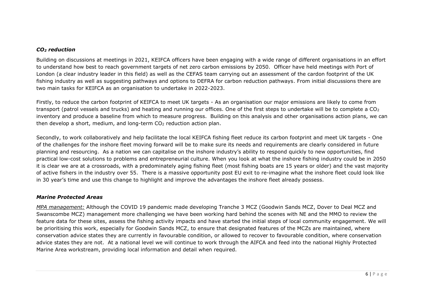#### *CO<sup>2</sup> reduction*

Building on discussions at meetings in 2021, KEIFCA officers have been engaging with a wide range of different organisations in an effort to understand how best to reach government targets of net zero carbon emissions by 2050. Officer have held meetings with Port of London (a clear industry leader in this field) as well as the CEFAS team carrying out an assessment of the cardon footprint of the UK fishing industry as well as suggesting pathways and options to DEFRA for carbon reduction pathways. From initial discussions there are two main tasks for KEIFCA as an organisation to undertake in 2022-2023.

Firstly, to reduce the carbon footprint of KEIFCA to meet UK targets - As an organisation our major emissions are likely to come from transport (patrol vessels and trucks) and heating and running our offices. One of the first steps to undertake will be to complete a CO<sub>2</sub> inventory and produce a baseline from which to measure progress. Building on this analysis and other organisations action plans, we can then develop a short, medium, and long-term CO<sup>2</sup> reduction action plan.

Secondly, to work collaboratively and help facilitate the local KEIFCA fishing fleet reduce its carbon footprint and meet UK targets - One of the challenges for the inshore fleet moving forward will be to make sure its needs and requirements are clearly considered in future planning and resourcing. As a nation we can capitalise on the inshore industry's ability to respond quickly to new opportunities, find practical low-cost solutions to problems and entrepreneurial culture. When you look at what the inshore fishing industry could be in 2050 it is clear we are at a crossroads, with a predominately aging fishing fleet (most fishing boats are 15 years or older) and the vast majority of active fishers in the industry over 55. There is a massive opportunity post EU exit to re-imagine what the inshore fleet could look like in 30 year's time and use this change to highlight and improve the advantages the inshore fleet already possess.

## *Marine Protected Areas*

*MPA management:* Although the COVID 19 pandemic made developing Tranche 3 MCZ (Goodwin Sands MCZ, Dover to Deal MCZ and Swanscombe MCZ) management more challenging we have been working hard behind the scenes with NE and the MMO to review the feature data for these sites, assess the fishing activity impacts and have started the initial steps of local community engagement. We will be prioritising this work, especially for Goodwin Sands MCZ, to ensure that designated features of the MCZs are maintained, where conservation advice states they are currently in favourable condition, or allowed to recover to favourable condition, where conservation advice states they are not. At a national level we will continue to work through the AIFCA and feed into the national Highly Protected Marine Area workstream, providing local information and detail when required.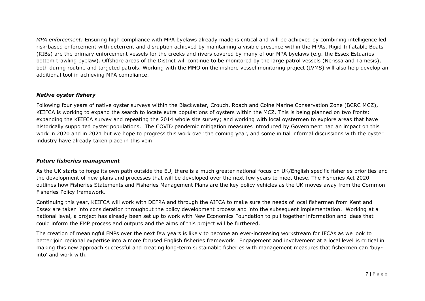*MPA enforcement:* Ensuring high compliance with MPA byelaws already made is critical and will be achieved by combining intelligence led risk-based enforcement with deterrent and disruption achieved by maintaining a visible presence within the MPAs. Rigid Inflatable Boats (RIBs) are the primary enforcement vessels for the creeks and rivers covered by many of our MPA byelaws (e.g. the Essex Estuaries bottom trawling byelaw). Offshore areas of the District will continue to be monitored by the large patrol vessels (Nerissa and Tamesis), both during routine and targeted patrols. Working with the MMO on the inshore vessel monitoring project (IVMS) will also help develop an additional tool in achieving MPA compliance.

## *Native oyster fishery*

Following four years of native oyster surveys within the Blackwater, Crouch, Roach and Colne Marine Conservation Zone (BCRC MCZ), KEIFCA is working to expand the search to locate extra populations of oysters within the MCZ. This is being planned on two fronts: expanding the KEIFCA survey and repeating the 2014 whole site survey; and working with local oystermen to explore areas that have historically supported oyster populations. The COVID pandemic mitigation measures introduced by Government had an impact on this work in 2020 and in 2021 but we hope to progress this work over the coming year, and some initial informal discussions with the oyster industry have already taken place in this vein.

## *Future fisheries management*

As the UK starts to forge its own path outside the EU, there is a much greater national focus on UK/English specific fisheries priorities and the development of new plans and processes that will be developed over the next few years to meet these. The Fisheries Act 2020 outlines how Fisheries Statements and Fisheries Management Plans are the key policy vehicles as the UK moves away from the Common Fisheries Policy framework.

Continuing this year, KEIFCA will work with DEFRA and through the AIFCA to make sure the needs of local fishermen from Kent and Essex are taken into consideration throughout the policy development process and into the subsequent implementation. Working at a national level, a project has already been set up to work with New Economics Foundation to pull together information and ideas that could inform the FMP process and outputs and the aims of this project will be furthered.

The creation of meaningful FMPs over the next few years is likely to become an ever-increasing workstream for IFCAs as we look to better join regional expertise into a more focused English fisheries framework. Engagement and involvement at a local level is critical in making this new approach successful and creating long-term sustainable fisheries with management measures that fishermen can 'buyinto' and work with.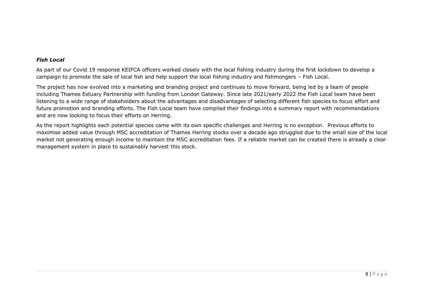## *Fish Local*

As part of our Covid 19 response KEIFCA officers worked closely with the local fishing industry during the first lockdown to develop a campaign to promote the sale of local fish and help support the local fishing industry and fishmongers – Fish Local.

The project has now evolved into a marketing and branding project and continues to move forward, being led by a team of people including Thames Estuary Partnership with funding from London Gateway. Since late 2021/early 2022 the Fish Local team have been listening to a wide range of stakeholders about the advantages and disadvantages of selecting different fish species to focus effort and future promotion and branding efforts. The Fish Local team have compiled their findings into a summary report with recommendations and are now looking to focus their efforts on Herring.

As the report highlights each potential species came with its own specific challenges and Herring is no exception. Previous efforts to maximise added value through MSC accreditation of Thames Herring stocks over a decade ago struggled due to the small size of the local market not generating enough income to maintain the MSC accreditation fees. If a reliable market can be created there is already a clear management system in place to sustainably harvest this stock.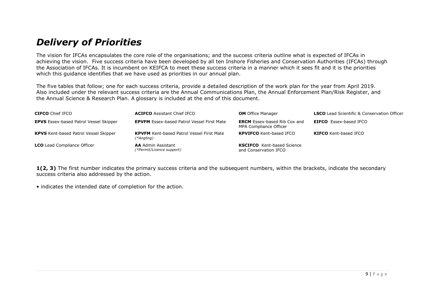## *Delivery of Priorities*

The vision for IFCAs encapsulates the core role of the organisations; and the success criteria outline what is expected of IFCAs in achieving the vision. Five success criteria have been developed by all ten Inshore Fisheries and Conservation Authorities (IFCAs) through the Association of IFCAs. It is incumbent on KEIFCA to meet these success criteria in a manner which it sees fit and it is the priorities which this guidance identifies that we have used as priorities in our annual plan.

The five tables that follow; one for each success criteria, provide a detailed description of the work plan for the year from April 2019. Also included under the relevant success criteria are the Annual Communications Plan, the Annual Enforcement Plan/Risk Register, and the Annual Science & Research Plan. A glossary is included at the end of this document.

| <b>CIFCO</b> Chief IFCO                       | <b>ACIFCO</b> Assistant Chief IFCO                             | <b>OM</b> Office Manager                                      | <b>LSCO</b> Lead Scientific & Conservation Officer |
|-----------------------------------------------|----------------------------------------------------------------|---------------------------------------------------------------|----------------------------------------------------|
| <b>EPVS</b> Essex-based Patrol Vessel Skipper | <b>EPVFM</b> Essex-based Patrol Vessel First Mate              | <b>ERCM</b> Essex-based Rib Cox and<br>MPA Compliance Officer | <b>EIFCO</b> Essex-based IFCO                      |
| <b>KPVS</b> Kent-based Patrol Vessel Skipper  | <b>KPVFM</b> Kent-based Patrol Vessel First Mate<br>(*Angling) | <b>KPVIFCO</b> Kent-based IFCO                                | <b>KIFCO</b> Kent-based IFCO                       |
| <b>LCO</b> Lead Compliance Officer            | <b>AA</b> Admin Assistant<br>(*Permit/Licence support)         | <b>KSCIFCO</b> Kent-based Science<br>and Conservation IFCO    |                                                    |

**1(2, 3)** The first number indicates the primary success criteria and the subsequent numbers, within the brackets, indicate the secondary success criteria also addressed by the action.

• indicates the intended date of completion for the action.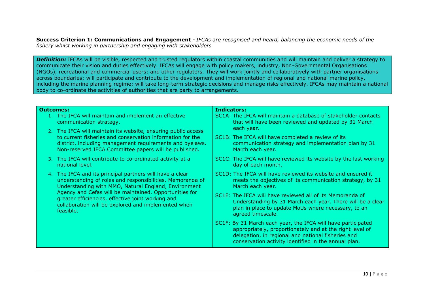**Success Criterion 1: Communications and Engagement** *- IFCAs are recognised and heard, balancing the economic needs of the fishery whilst working in partnership and engaging with stakeholders*

*Definition:* IFCAs will be visible, respected and trusted regulators within coastal communities and will maintain and deliver a strategy to communicate their vision and duties effectively. IFCAs will engage with policy makers, industry, Non-Governmental Organisations (NGOs), recreational and commercial users; and other regulators. They will work jointly and collaboratively with partner organisations across boundaries; will participate and contribute to the development and implementation of regional and national marine policy, including the marine planning regime; will take long-term strategic decisions and manage risks effectively. IFCAs may maintain a national body to co-ordinate the activities of authorities that are party to arrangements.

#### **Outcomes:**

- 1. The IFCA will maintain and implement an effective communication strategy.
- 2. The IFCA will maintain its website, ensuring public access to current fisheries and conservation information for the district, including management requirements and byelaws. Non-reserved IFCA Committee papers will be published.
- 3. The IFCA will contribute to co-ordinated activity at a national level.
- 4. The IFCA and its principal partners will have a clear understanding of roles and responsibilities. Memoranda of Understanding with MMO, Natural England, Environment Agency and Cefas will be maintained. Opportunities for greater efficiencies, effective joint working and collaboration will be explored and implemented when feasible.

#### **Indicators:**

- SC1A: The IFCA will maintain a database of stakeholder contacts that will have been reviewed and updated by 31 March each year.
- SC1B: The IFCA will have completed a review of its communication strategy and implementation plan by 31 March each year.
- SC1C: The IFCA will have reviewed its website by the last working day of each month.
- SC1D: The IFCA will have reviewed its website and ensured it meets the objectives of its communication strategy, by 31 March each year.
- SC1E: The IFCA will have reviewed all of its Memoranda of Understanding by 31 March each year. There will be a clear plan in place to update MoUs where necessary, to an agreed timescale.
- SC1F: By 31 March each year, the IFCA will have participated appropriately, proportionately and at the right level of delegation, in regional and national fisheries and conservation activity identified in the annual plan.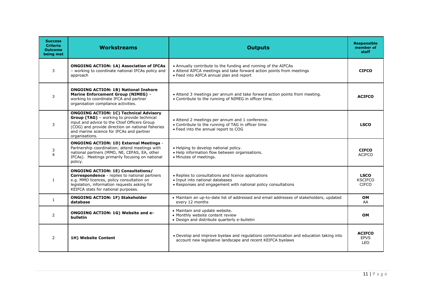| <b>Success</b><br><b>Criteria</b><br><b>Outcome</b><br>being met | <b>Workstreams</b>                                                                                                                                                                                                                                             | <b>Outputs</b>                                                                                                                                                                     | <b>Responsible</b><br>member of<br>staff      |
|------------------------------------------------------------------|----------------------------------------------------------------------------------------------------------------------------------------------------------------------------------------------------------------------------------------------------------------|------------------------------------------------------------------------------------------------------------------------------------------------------------------------------------|-----------------------------------------------|
| 3                                                                | <b>ONGOING ACTION: 1A) Association of IFCAs</b><br>- working to coordinate national IFCAs policy and<br>approach                                                                                                                                               | • Annually contribute to the funding and running of the AIFCAs<br>• Attend AIFCA meetings and take forward action points from meetings<br>• Feed into AIFCA annual plan and report | <b>CIFCO</b>                                  |
| 3                                                                | <b>ONGOING ACTION: 1B) National Inshore</b><br><b>Marine Enforcement Group (NIMEG) -</b><br>working to coordinate IFCA and partner<br>organisation compliance activities.                                                                                      | • Attend 3 meetings per annum and take forward action points from meeting.<br>• Contribute to the running of NIMEG in officer time.                                                | <b>ACIFCO</b>                                 |
| 3                                                                | <b>ONGOING ACTION: 1C) Technical Advisory</b><br>Group (TAG) - working to provide technical<br>input and advice to the Chief Officers Group<br>(COG) and provide direction on national fisheries<br>and marine science for IFCAs and partner<br>organisations. | • Attend 2 meetings per annum and 1 conference.<br>• Contribute to the running of TAG in officer time<br>. Feed into the annual report to COG                                      | <b>LSCO</b>                                   |
| 3<br>$\overline{a}$                                              | <b>ONGOING ACTION: 1D) External Meetings -</b><br>Partnership coordination; attend meetings with<br>national partners (MMO, NE, CEFAS, EA, other<br>IFCAs). Meetings primarily focusing on national<br>policy.                                                 | • Helping to develop national policy.<br>• Help information flow between organisations.<br>• Minutes of meetings.                                                                  | <b>CIFCO</b><br><b>ACIFCO</b>                 |
| $\mathbf{1}$                                                     | <b>ONGOING ACTION: 1E) Consultations/</b><br>Correspondence - replies to national partners<br>e.g. MMO licences, policy consultation on<br>legislation, information requests asking for<br>KEIFCA stats for national purposes.                                 | • Replies to consultations and licence applications<br>• Input into national databases<br>• Responses and engagement with national policy consultations                            | <b>LSCO</b><br><b>KSCIFCO</b><br><b>CIFCO</b> |
| 1                                                                | <b>ONGOING ACTION: 1F) Stakeholder</b><br>database                                                                                                                                                                                                             | • Maintain an up-to-date list of addressed and email addresses of stakeholders, updated<br>every 12 months                                                                         | <b>OM</b><br>AA                               |
| $\overline{2}$                                                   | <b>ONGOING ACTION: 1G) Website and e-</b><br>bulletin                                                                                                                                                                                                          | • Maintain and update website.<br>• Monthly website content review<br>• Design and distribute quarterly e-bulletin                                                                 | <b>OM</b>                                     |
| $\overline{2}$                                                   | 1H) Website Content                                                                                                                                                                                                                                            | . Develop and improve byelaw and regulations communication and education taking into<br>account new legislative landscape and recent KEIFCA byelaws                                | <b>ACIFCO</b><br><b>EPVS</b><br><b>LEO</b>    |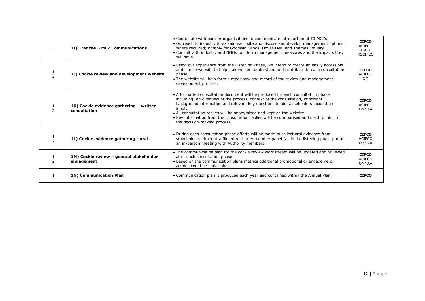| 3             | 1I) Tranche 3 MCZ Communications                        | • Coordinate with partner organisations to communicate introduction of T3 MCZs.<br>. Outreach to industry to explain each site and discuss and develop management options<br>where required; notably for Goodwin Sands, Dover-Deal and Thames Estuary<br>• Consult with industry and NGOs to inform management measures and the impacts they<br>will have                                                                                                          | <b>CIFCO</b><br><b>ACIFCO</b><br><b>LSCO</b><br><b>KSCIFCO</b> |
|---------------|---------------------------------------------------------|--------------------------------------------------------------------------------------------------------------------------------------------------------------------------------------------------------------------------------------------------------------------------------------------------------------------------------------------------------------------------------------------------------------------------------------------------------------------|----------------------------------------------------------------|
|               | 1J) Cockle review and development website               | • Using our experience from the Listening Phase, we intend to create an easily accessible<br>and simple website to help stakeholders understand and contribute to each consultation<br>phase.<br>• The website will help form a repository and record of the review and management<br>development process.                                                                                                                                                         | <b>CIFCO</b><br><b>ACIFCO</b><br>OM                            |
| $\mathcal{P}$ | 1K) Cockle evidence gathering - written<br>consultation | • A formatted consultation document will be produced for each consultation phase<br>including: an overview of the process, context of the consultation, important<br>background information and relevant key questions to aid stakeholders focus their<br>input.<br>• All consultation replies will be anonymised and kept on the website<br>• Key information from the consultation replies will be summarised and used to inform<br>the decision-making process. | <b>CIFCO</b><br><b>ACIFCO</b><br>OM/AA                         |
|               | 1L) Cockle evidence gathering - oral                    | . During each consultation phase efforts will be made to collect oral evidence from<br>stakeholders either at a filmed Authority member panel (as in the listening phase) or at<br>an in-person meeting with Authority members.                                                                                                                                                                                                                                    | <b>CIFCO</b><br><b>ACIFCO</b><br>OM/AA                         |
|               | 1M) Cockle review - general stakeholder<br>engagement   | • The communication plan for the cockle review workstream will be updated and reviewed<br>after each consultation phase.<br>• Based on the communication plans metrics additional promotional or engagement<br>actions could be undertaken.                                                                                                                                                                                                                        | <b>CIFCO</b><br><b>ACIFCO</b><br>OM/AA                         |
|               | 1N) Communication Plan                                  | . Communication plan is produced each year and contained within the Annual Plan.                                                                                                                                                                                                                                                                                                                                                                                   | <b>CIFCO</b>                                                   |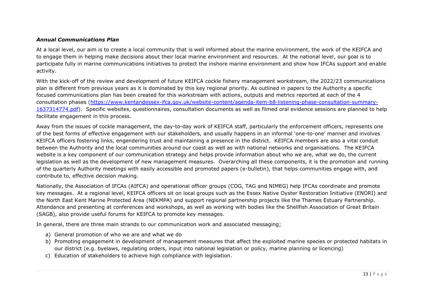## *Annual Communications Plan*

At a local level, our aim is to create a local community that is well informed about the marine environment, the work of the KEIFCA and to engage them in helping make decisions about their local marine environment and resources. At the national level, our goal is to participate fully in marine communications initiatives to protect the inshore marine environment and show how IFCAs support and enable activity.

With the kick-off of the review and development of future KEIFCA cockle fishery management workstream, the 2022/23 communications plan is different from previous years as it is dominated by this key regional priority. As outlined in papers to the Authority a specific focused communications plan has been created for this workstream with actions, outputs and metrics reported at each of the 4 consultation phases [\(https://www.kentandessex-ifca.gov.uk/website-content/agenda-item-b8-listening-phase-consultation-summary-](https://www.kentandessex-ifca.gov.uk/website-content/agenda-item-b8-listening-phase-consultation-summary-1637314774.pdf)[1637314774.pdf\)](https://www.kentandessex-ifca.gov.uk/website-content/agenda-item-b8-listening-phase-consultation-summary-1637314774.pdf). Specific websites, questionnaires, consultation documents as well as filmed oral evidence sessions are planned to help facilitate engagement in this process.

Away from the issues of cockle management, the day-to-day work of KEIFCA staff, particularly the enforcement officers, represents one of the best forms of effective engagement with our stakeholders, and usually happens in an informal 'one-to-one' manner and involves KEIFCA officers fostering links, engendering trust and maintaining a presence in the district. KEIFCA members are also a vital conduit between the Authority and the local communities around our coast as well as with national networks and organisations. The KEIFCA website is a key component of our communication strategy and helps provide information about who we are, what we do, the current legislation as well as the development of new management measures. Overarching all these components, it is the promotion and running of the quarterly Authority meetings with easily accessible and promoted papers (e-bulletin), that helps communities engage with, and contribute to, effective decision making.

Nationally, the Association of IFCAs (AIFCA) and operational officer groups (COG, TAG and NIMEG) help IFCAs coordinate and promote key messages. At a regional level, KEIFCA officers sit on local groups such as the Essex Native Oyster Restoration Initiative (ENORI) and the North East Kent Marine Protected Area (NEKMPA) and support regional partnership projects like the Thames Estuary Partnership. Attendance and presenting at conferences and workshops, as well as working with bodies like the Shellfish Association of Great Britain (SAGB), also provide useful forums for KEIFCA to promote key messages.

In general, there are three main strands to our communication work and associated messaging;

- a) General promotion of who we are and what we do
- b) Promoting engagement in development of management measures that affect the exploited marine species or protected habitats in our district (e.g. byelaws, regulating orders, input into national legislation or policy, marine planning or licencing)
- c) Education of stakeholders to achieve high compliance with legislation.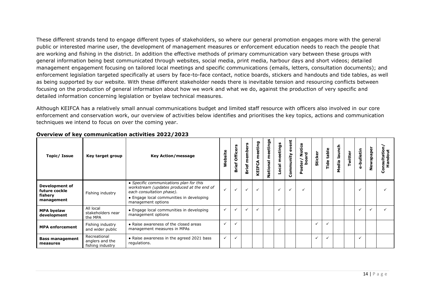These different strands tend to engage different types of stakeholders, so where our general promotion engages more with the general public or interested marine user, the development of management measures or enforcement education needs to reach the people that are working and fishing in the district. In addition the effective methods of primary communication vary between these groups with general information being best communicated through websites, social media, print media, harbour days and short videos; detailed management engagement focusing on tailored local meetings and specific communications (emails, letters, consultation documents); and enforcement legislation targeted specifically at users by face-to-face contact, notice boards, stickers and handouts and tide tables, as well as being supported by our website. With these different stakeholder needs there is inevitable tension and resourcing conflicts between focusing on the production of general information about how we work and what we do, against the production of very specific and detailed information concerning legislation or byelaw technical measures.

Although KEIFCA has a relatively small annual communications budget and limited staff resource with officers also involved in our core enforcement and conservation work, our overview of activities below identifies and prioritises the key topics, actions and communication techniques we intend to focus on over the coming year.

| Topic/ Issue                                                    | Key target group                                                                                            | <b>Key Action/message</b>                                                                                                                                                            | ebsite       | <b>Officers</b><br>rief<br>≃ | members<br><b>Brief</b> | meeting<br>KEIFCA | ational meetings | meetings<br>$rac{1}{2}$ | event<br>Community | ster/Notice<br>board<br>ğ | <b>Sticker</b> | table<br>Tide | edia launch | Twitter | -bulletin<br>Ò | Newspaper | nsultation,<br>Handout<br>Ō |
|-----------------------------------------------------------------|-------------------------------------------------------------------------------------------------------------|--------------------------------------------------------------------------------------------------------------------------------------------------------------------------------------|--------------|------------------------------|-------------------------|-------------------|------------------|-------------------------|--------------------|---------------------------|----------------|---------------|-------------|---------|----------------|-----------|-----------------------------|
| <b>Development of</b><br>future cockle<br>fishery<br>management | Fishing industry                                                                                            | • Specific communications plan for this<br>workstream (updates produced at the end of<br>each consultation phase).<br>• Engage local communities in developing<br>management options | $\checkmark$ | $\checkmark$                 |                         | $\checkmark$      |                  | $\checkmark$            | $\checkmark$       |                           |                |               |             |         | $\checkmark$   |           |                             |
| <b>MPA byelaw</b><br>development                                | All local<br>• Engage local communities in developing<br>stakeholders near<br>management options<br>the MPA |                                                                                                                                                                                      | $\checkmark$ |                              |                         | $\checkmark$      |                  | $\checkmark$            |                    |                           |                |               |             |         |                |           |                             |
| <b>MPA enforcement</b>                                          | Fishing industry<br>and wider public                                                                        | • Raise awareness of the closed areas<br>management measures in MPAs                                                                                                                 | $\checkmark$ |                              |                         |                   |                  |                         |                    |                           |                |               |             |         |                |           |                             |
| <b>Bass management</b><br>measures                              | Recreational<br>anglers and the<br>fishing industry                                                         | • Raise awareness in the agreed 2021 bass<br>regulations.                                                                                                                            | $\checkmark$ |                              |                         |                   |                  |                         |                    |                           | $\checkmark$   |               |             |         |                |           |                             |

#### **Overview of key communication activities 2022/2023**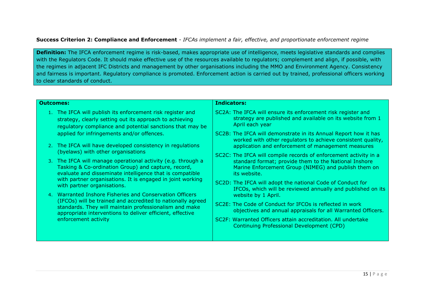## **Success Criterion 2: Compliance and Enforcement** *- IFCAs implement a fair, effective, and proportionate enforcement regime*

**Definition:** The IFCA enforcement regime is risk-based, makes appropriate use of intelligence, meets legislative standards and complies with the Regulators Code. It should make effective use of the resources available to regulators; complement and align, if possible, with the regimes in adjacent IFC Districts and management by other organisations including the MMO and Environment Agency. Consistency and fairness is important. Regulatory compliance is promoted. Enforcement action is carried out by trained, professional officers working to clear standards of conduct.

#### **Outcomes:**

- 1. The IFCA will publish its enforcement risk register and strategy, clearly setting out its approach to achieving regulatory compliance and potential sanctions that may be applied for infringements and/or offences.
- 2. The IFCA will have developed consistency in regulations (byelaws) with other organisations
- 3. The IFCA will manage operational activity (e.g. through a Tasking & Co-ordination Group) and capture, record, evaluate and disseminate intelligence that is compatible with partner organisations. It is engaged in joint working with partner organisations.
- 4. Warranted Inshore Fisheries and Conservation Officers (IFCOs) will be trained and accredited to nationally agreed standards. They will maintain professionalism and make appropriate interventions to deliver efficient, effective enforcement activity

#### **Indicators:**

- SC2A: The IFCA will ensure its enforcement risk register and strategy are published and available on its website from 1 April each year
- SC2B: The IFCA will demonstrate in its Annual Report how it has worked with other regulators to achieve consistent quality, application and enforcement of management measures
- SC2C: The IFCA will compile records of enforcement activity in a standard format; provide them to the National Inshore Marine Enforcement Group (NIMEG) and publish them on its website.
- SC2D: The IFCA will adopt the national Code of Conduct for IFCOs, which will be reviewed annually and published on its website by 1 April.
- SC2E: The Code of Conduct for IFCOs is reflected in work objectives and annual appraisals for all Warranted Officers.
- SC2F: Warranted Officers attain accreditation. All undertake Continuing Professional Development (CPD)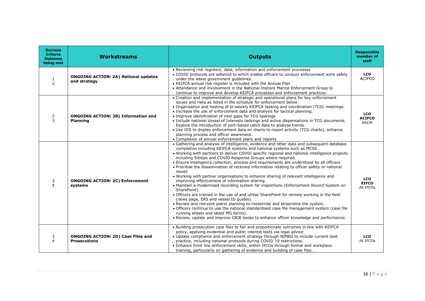| <b>Success</b><br><b>Criteria</b><br><b>Outcome</b><br>being met | <b>Workstreams</b>                                               | <b>Outputs</b>                                                                                                                                                                                                                                                                                                                                                                                                                                                                                                                                                                                                                                                                                                                                                                                                                                                                                                                                                                                                                                                                                                                                                                                                                                            | <b>Responsible</b><br>member of<br>staff   |
|------------------------------------------------------------------|------------------------------------------------------------------|-----------------------------------------------------------------------------------------------------------------------------------------------------------------------------------------------------------------------------------------------------------------------------------------------------------------------------------------------------------------------------------------------------------------------------------------------------------------------------------------------------------------------------------------------------------------------------------------------------------------------------------------------------------------------------------------------------------------------------------------------------------------------------------------------------------------------------------------------------------------------------------------------------------------------------------------------------------------------------------------------------------------------------------------------------------------------------------------------------------------------------------------------------------------------------------------------------------------------------------------------------------|--------------------------------------------|
| $\mathbf{1}$<br>$\overline{2}$                                   | <b>ONGOING ACTION: 2A) National updates</b><br>and strategy      | • Reviewing risk registers, data, information and enforcement processes<br>• COVID protocols are adhered to which enable officers to conduct enforcement work safely<br>under the latest government guidelines.<br>• KEIFCA annual risk register is included with the Annual Plan<br>• Attendance and involvement in the National Inshore Marine Enforcement Group to<br>continue to improve and develop KEIFCA processes and enforcement practices.                                                                                                                                                                                                                                                                                                                                                                                                                                                                                                                                                                                                                                                                                                                                                                                                      | <b>LCO</b><br><b>ACIFCO</b>                |
| 2<br>3                                                           | <b>ONGOING ACTION: 2B) Information and</b><br><b>Planning</b>    | • Creation and implementation of strategic and operational plans for key enforcement<br>issues and risks as listed in the schedule for enforcement below.<br>• Organisation and hosting of bi-weekly KEIFCA tasking and coordination (TCG) meetings.<br>• Increase the use of enforcement data and analysis for tactical planning.<br>• Improve identification of intel gaps for TCG taskings<br>• Include national Vessel of Interests taskings and active dispensations in TCG documents.<br>Explore the introduction of port-based catch data to analyse trends.<br>• Use GIS to display enforcement data on charts to report activity (TCG charts), enhance<br>planning process and officer awareness.<br>• Completion of annual enforcement plans and reports                                                                                                                                                                                                                                                                                                                                                                                                                                                                                        | <b>LCO</b><br><b>ACIFCO</b><br><b>ERCM</b> |
| 3<br>$\overline{\mathbf{A}}$                                     | <b>ONGOING ACTION: 2C) Enforcement</b><br>systems                | • Gathering and analysis of intelligence, evidence and other data and subsequent database<br>completion including KEIFCA systems and national systems such as MCSS<br>. Working with partners to deliver COVID specific regional and national intelligence projects<br>including Sitreps and COVID Response Groups where required.<br>• Ensure intelligence collection, process and requirements are understood by all officers<br>. Prioritise the dissemination of received information relating to officer safety or national<br>issues<br>. Working with partner organisations to enhance sharing of relevant intelligence and<br>improving effectiveness of information sharing.<br>• Maintain a modernised recording system for inspections (Enforcement Record System on<br>SharePoint).<br>• Officers are trained in the use of and utilise SharePoint for remote working in the field<br>(news page, ERS and vessel ID quides).<br>• Review and reinvent patrol planning to modernise and streamline the system.<br>• Officers continue to use the national standardised case file management system (case file<br>running sheets and latest MG forms).<br>. Review, update and improve CRIB books to enhance officer knowledge and performance. | <b>LCO</b><br><b>EIFCO</b><br>All IFCOs    |
| 3<br>4                                                           | <b>ONGOING ACTION: 2D) Case Files and</b><br><b>Prosecutions</b> | • Building prosecution case files to fair and proportionate outcomes in line with KEIFCA<br>policy, applying evidential and public interest tests via legal advice.<br>• Update compliance and enforcement strategy through NIMEG to include current best<br>practice, including national protocols during COVID 19 restrictions.<br>• Enhance front line enforcement skills, within IFCOs through formal and workplace<br>training, particularly on gathering of evidence and building of case files.                                                                                                                                                                                                                                                                                                                                                                                                                                                                                                                                                                                                                                                                                                                                                    | <b>LCO</b><br>All IFCOs                    |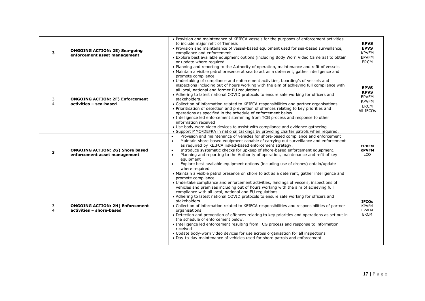| 3                   | <b>ONGOING ACTION: 2E) Sea-going</b><br>enforcement asset management   | . Provision and maintenance of KEIFCA vessels for the purposes of enforcement activities<br>to include major refit of Tamesis<br>. Provision and maintenance of vessel-based equipment used for sea-based surveillance,<br>compliance and enforcement<br>• Explore best available equipment options (including Body Worn Video Cameras) to obtain<br>or update where required<br>. Planning and reporting to the Authority of operation, maintenance and refit of vessels                                                                                                                                                                                                                                                                                                                                                                                                                                                                                                                                    | <b>KPVS</b><br><b>EPVS</b><br><b>KPVFM</b><br><b>EPVFM</b><br><b>ERCM</b>              |
|---------------------|------------------------------------------------------------------------|--------------------------------------------------------------------------------------------------------------------------------------------------------------------------------------------------------------------------------------------------------------------------------------------------------------------------------------------------------------------------------------------------------------------------------------------------------------------------------------------------------------------------------------------------------------------------------------------------------------------------------------------------------------------------------------------------------------------------------------------------------------------------------------------------------------------------------------------------------------------------------------------------------------------------------------------------------------------------------------------------------------|----------------------------------------------------------------------------------------|
| 3<br>$\overline{a}$ | <b>ONGOING ACTION: 2F) Enforcement</b><br>activities - sea-based       | • Maintain a visible patrol presence at sea to act as a deterrent, gather intelligence and<br>promote compliance.<br>• Undertaking of compliance and enforcement activities, boarding's of vessels and<br>inspections including out of hours working with the aim of achieving full compliance with<br>all local, national and former EU regulations.<br>• Adhering to latest national COVID protocols to ensure safe working for officers and<br>stakeholders.<br>• Collection of information related to KEIFCA responsibilities and partner organisations<br>• Prioritisation of detection and prevention of offences relating to key priorities and<br>operations as specified in the schedule of enforcement below.<br>• Intelligence led enforcement stemming from TCG process and response to other<br>information received<br>• Use body-worn video devices to assist with compliance and evidence gathering.<br>. Support MMO/DEFRA in national taskings by providing charter patrols when required. | <b>EPVS</b><br><b>KPVS</b><br><b>EPVFM</b><br><b>KPVFM</b><br><b>ERCM</b><br>All IFCOs |
| 3                   | <b>ONGOING ACTION: 2G) Shore based</b><br>enforcement asset management | Provision and maintenance of vehicles for shore-based compliance and enforcement<br>Maintain shore-based equipment capable of carrying out surveillance and enforcement<br>$\bullet$<br>as required by KEIFCA risked-based enforcement strategy.<br>Introduce systematic checks for upkeep of shore-based enforcement equipment.<br>Planning and reporting to the Authority of operation, maintenance and refit of key<br>$\bullet$<br>equipment<br>Explore best available equipment options (including use of drones) obtain/update<br>$\bullet$<br>where required                                                                                                                                                                                                                                                                                                                                                                                                                                          | <b>EPVFM</b><br><b>KPVFM</b><br>LCO                                                    |
| 3<br>$\overline{a}$ | <b>ONGOING ACTION: 2H) Enforcement</b><br>activities - shore-based     | . Maintain a visible patrol presence on shore to act as a deterrent, gather intelligence and<br>promote compliance.<br>• Undertake compliance and enforcement activities, landings of vessels, inspections of<br>vehicles and premises including out of hours working with the aim of achieving full<br>compliance with all local, national and EU regulations.<br>• Adhering to latest national COVID protocols to ensure safe working for officers and<br>stakeholders.<br>• Collection of information related to KEIFCA responsibilities and responsibilities of partner<br>organisations<br>• Detection and prevention of offences relating to key priorities and operations as set out in<br>the schedule of enforcement below.<br>• Intelligence led enforcement resulting from TCG process and response to information<br>received<br>. Update body-worn video devices for use across organisation for all inspections<br>• Day-to-day maintenance of vehicles used for shore patrols and enforcement | <b>IFCOs</b><br><b>KPVFM</b><br><b>EPVFM</b><br><b>ERCM</b>                            |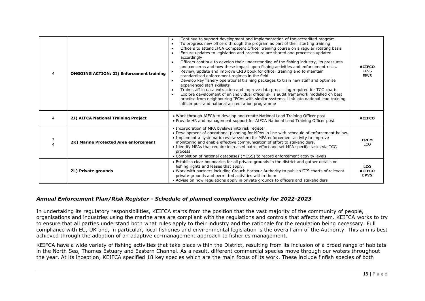| $\overline{4}$ | <b>ONGOING ACTION: 2I) Enforcement training</b> | Continue to support development and implementation of the accredited program<br>To progress new officers through the program as part of their starting training<br>Officers to attend IFCA Competent Officer training course on a regular rotating basis<br>Ensure updates to legislation and procedure are shared and processes updated<br>accordingly<br>Officers continue to develop their understanding of the fishing industry, its pressures<br>and concerns and how these impact upon fishing activities and enforcement risks.<br>Review, update and improve CRIB book for officer training and to maintain<br>standardised enforcement regimes in the field<br>Develop key fishery operational training packages to train new staff and optimise<br>experienced staff skillsets<br>Train staff in data extraction and improve data processing required for TCG charts<br>Explore development of an Individual officer skills audit framework modelled on best<br>practise from neighbouring IFCAs with similar systems. Link into national lead training<br>officer post and national accreditation programme | <b>ACIFCO</b><br><b>KPVS</b><br><b>EPVS</b> |
|----------------|-------------------------------------------------|------------------------------------------------------------------------------------------------------------------------------------------------------------------------------------------------------------------------------------------------------------------------------------------------------------------------------------------------------------------------------------------------------------------------------------------------------------------------------------------------------------------------------------------------------------------------------------------------------------------------------------------------------------------------------------------------------------------------------------------------------------------------------------------------------------------------------------------------------------------------------------------------------------------------------------------------------------------------------------------------------------------------------------------------------------------------------------------------------------------------|---------------------------------------------|
| 4              | 2J) AIFCA National Training Project             | . Work through AIFCA to develop and create National Lead Training Officer post<br>. Provide HR and management support for AIFCA National Lead Training Officer post                                                                                                                                                                                                                                                                                                                                                                                                                                                                                                                                                                                                                                                                                                                                                                                                                                                                                                                                                    | <b>ACIFCO</b>                               |
| 3              | 2K) Marine Protected Area enforcement           | • Incorporation of MPA byelaws into risk register<br>. Development of operational planning for MPAs in line with schedule of enforcement below.<br>• Implement a systematic review system for MPA enforcement activity to improve<br>monitoring and enable effective communication of effort to stakeholders.<br>• Identify MPAs that require increased patrol effort and set MPA specific tasks via TCG<br>process.<br>• Completion of national databases (MCSS) to record enforcement activity levels.                                                                                                                                                                                                                                                                                                                                                                                                                                                                                                                                                                                                               | <b>ERCM</b><br>LCO                          |
|                | 2L) Private grounds                             | • Establish clear boundaries for all private grounds in the district and gather details on<br>fishing rights and leases that apply.<br>. Work with partners including Crouch Harbour Authority to publish GIS charts of relevant<br>private grounds and permitted activities within them<br>• Advise on how regulations apply in private grounds to officers and stakeholders                                                                                                                                                                                                                                                                                                                                                                                                                                                                                                                                                                                                                                                                                                                                          | <b>LCO</b><br><b>ACIFCO</b><br><b>EPVS</b>  |

## *Annual Enforcement Plan/Risk Register - Schedule of planned compliance activity for 2022-2023*

In undertaking its regulatory responsibilities, KEIFCA starts from the position that the vast majority of the community of people, organisations and industries using the marine area are compliant with the regulations and controls that affects them. KEIFCA works to try to ensure that all parties understand both what rules apply to their industry and the rationale for the regulation being necessary. Full compliance with EU, UK and, in particular, local fisheries and environmental legislation is the overall aim of the Authority. This aim is best achieved through the adoption of an adaptive co-management approach to fisheries management.

KEIFCA have a wide variety of fishing activities that take place within the District, resulting from its inclusion of a broad range of habitats in the North Sea, Thames Estuary and Eastern Channel. As a result, different commercial species move through our waters throughout the year. At its inception, KEIFCA specified 18 key species which are the main focus of its work. These include finfish species of both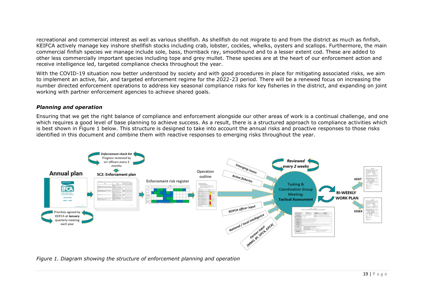recreational and commercial interest as well as various shellfish. As shellfish do not migrate to and from the district as much as finfish, KEIFCA actively manage key inshore shellfish stocks including crab, lobster, cockles, whelks, oysters and scallops. Furthermore, the main commercial finfish species we manage include sole, bass, thornback ray, smoothound and to a lesser extent cod. These are added to other less commercially important species including tope and grey mullet. These species are at the heart of our enforcement action and receive intelligence led, targeted compliance checks throughout the year.

With the COVID-19 situation now better understood by society and with good procedures in place for mitigating associated risks, we aim to implement an active, fair, and targeted enforcement regime for the 2022-23 period. There will be a renewed focus on increasing the number directed enforcement operations to address key seasonal compliance risks for key fisheries in the district, and expanding on joint working with partner enforcement agencies to achieve shared goals.

#### *Planning and operation*

Ensuring that we get the right balance of compliance and enforcement alongside our other areas of work is a continual challenge, and one which requires a good level of base planning to achieve success. As a result, there is a structured approach to compliance activities which is best shown in Figure 1 below. This structure is designed to take into account the annual risks and proactive responses to those risks identified in this document and combine them with reactive responses to emerging risks throughout the year.



*Figure 1. Diagram showing the structure of enforcement planning and operation*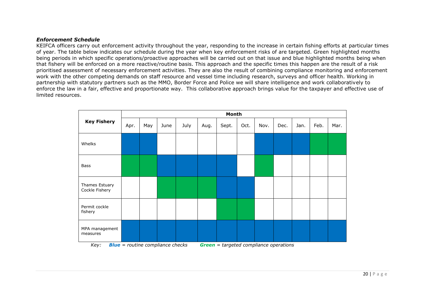### *Enforcement Schedule*

KEIFCA officers carry out enforcement activity throughout the year, responding to the increase in certain fishing efforts at particular times of year. The table below indicates our schedule during the year when key enforcement risks of are targeted. Green highlighted months being periods in which specific operations/proactive approaches will be carried out on that issue and blue highlighted months being when that fishery will be enforced on a more reactive/routine basis. This approach and the specific times this happen are the result of a risk prioritised assessment of necessary enforcement activities. They are also the result of combining compliance monitoring and enforcement work with the other competing demands on staff resource and vessel time including research, surveys and officer health. Working in partnership with statutory partners such as the MMO, Border Force and Police we will share intelligence and work collaboratively to enforce the law in a fair, effective and proportionate way. This collaborative approach brings value for the taxpayer and effective use of limited resources.

|                                  |      |     |                                         |      |      | Month                                         |      |      |      |      |      |      |
|----------------------------------|------|-----|-----------------------------------------|------|------|-----------------------------------------------|------|------|------|------|------|------|
| <b>Key Fishery</b>               | Apr. | May | June                                    | July | Aug. | Sept.                                         | Oct. | Nov. | Dec. | Jan. | Feb. | Mar. |
| Whelks                           |      |     |                                         |      |      |                                               |      |      |      |      |      |      |
| <b>Bass</b>                      |      |     |                                         |      |      |                                               |      |      |      |      |      |      |
| Thames Estuary<br>Cockle Fishery |      |     |                                         |      |      |                                               |      |      |      |      |      |      |
| Permit cockle<br>fishery         |      |     |                                         |      |      |                                               |      |      |      |      |      |      |
| MPA management<br>measures       |      |     |                                         |      |      |                                               |      |      |      |      |      |      |
| Key:                             |      |     | <b>Blue</b> = routine compliance checks |      |      | <b>Green</b> = targeted compliance operations |      |      |      |      |      |      |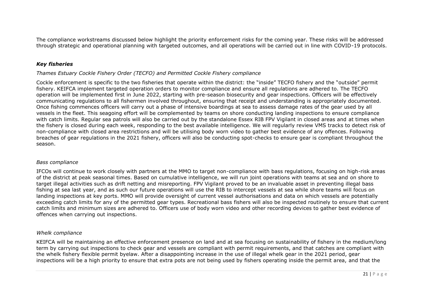The compliance workstreams discussed below highlight the priority enforcement risks for the coming year. These risks will be addressed through strategic and operational planning with targeted outcomes, and all operations will be carried out in line with COVID-19 protocols.

## *Key fisheries*

## *Thames Estuary Cockle Fishery Order (TECFO) and Permitted Cockle Fishery compliance*

Cockle enforcement is specific to the two fisheries that operate within the district: the "inside" TECFO fishery and the "outside" permit fishery. KEIFCA implement targeted operation orders to monitor compliance and ensure all regulations are adhered to. The TECFO operation will be implemented first in June 2022, starting with pre-season biosecurity and gear inspections. Officers will be effectively communicating regulations to all fishermen involved throughout, ensuring that receipt and understanding is appropriately documented. Once fishing commences officers will carry out a phase of intensive boardings at sea to assess damage rates of the gear used by all vessels in the fleet. This seagoing effort will be complemented by teams on shore conducting landing inspections to ensure compliance with catch limits. Regular sea patrols will also be carried out by the standalone Essex RIB FPV Vigilant in closed areas and at times when the fishery is closed during each week, responding to the best available intelligence. We will regularly review VMS tracks to detect risk of non-compliance with closed area restrictions and will be utilising body worn video to gather best evidence of any offences. Following breaches of gear regulations in the 2021 fishery, officers will also be conducting spot-checks to ensure gear is compliant throughout the season.

#### *Bass compliance*

IFCOs will continue to work closely with partners at the MMO to target non-compliance with bass regulations, focusing on high-risk areas of the district at peak seasonal times. Based on cumulative intelligence, we will run joint operations with teams at sea and on shore to target illegal activities such as drift netting and misreporting. FPV Vigilant proved to be an invaluable asset in preventing illegal bass fishing at sea last year, and as such our future operations will use the RIB to intercept vessels at sea while shore teams will focus on landing inspections at key ports. MMO will provide oversight of current vessel authorisations and data on which vessels are potentially exceeding catch limits for any of the permitted gear types. Recreational bass fishers will also be inspected routinely to ensure that current catch limits and minimum sizes are adhered to. Officers use of body worn video and other recording devices to gather best evidence of offences when carrying out inspections.

## *Whelk compliance*

KEIFCA will be maintaining an effective enforcement presence on land and at sea focusing on sustainability of fishery in the medium/long term by carrying out inspections to check gear and vessels are compliant with permit requirements, and that catches are compliant with the whelk fishery flexible permit byelaw. After a disappointing increase in the use of illegal whelk gear in the 2021 period, gear inspections will be a high priority to ensure that extra pots are not being used by fishers operating inside the permit area, and that the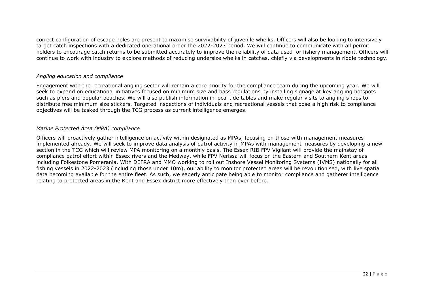correct configuration of escape holes are present to maximise survivability of juvenile whelks. Officers will also be looking to intensively target catch inspections with a dedicated operational order the 2022-2023 period. We will continue to communicate with all permit holders to encourage catch returns to be submitted accurately to improve the reliability of data used for fishery management. Officers will continue to work with industry to explore methods of reducing undersize whelks in catches, chiefly via developments in riddle technology.

## *Angling education and compliance*

Engagement with the recreational angling sector will remain a core priority for the compliance team during the upcoming year. We will seek to expand on educational initiatives focused on minimum size and bass regulations by installing signage at key angling hotspots such as piers and popular beaches. We will also publish information in local tide tables and make regular visits to angling shops to distribute free minimum size stickers. Targeted inspections of individuals and recreational vessels that pose a high risk to compliance objectives will be tasked through the TCG process as current intelligence emerges.

## *Marine Protected Area (MPA) compliance*

Officers will proactively gather intelligence on activity within designated as MPAs, focusing on those with management measures implemented already. We will seek to improve data analysis of patrol activity in MPAs with management measures by developing a new section in the TCG which will review MPA monitoring on a monthly basis. The Essex RIB FPV Vigilant will provide the mainstay of compliance patrol effort within Essex rivers and the Medway, while FPV Nerissa will focus on the Eastern and Southern Kent areas including Folkestone Pomerania. With DEFRA and MMO working to roll out Inshore Vessel Monitoring Systems (IVMS) nationally for all fishing vessels in 2022-2023 (including those under 10m), our ability to monitor protected areas will be revolutionised, with live spatial data becoming available for the entire fleet. As such, we eagerly anticipate being able to monitor compliance and gatherer intelligence relating to protected areas in the Kent and Essex district more effectively than ever before.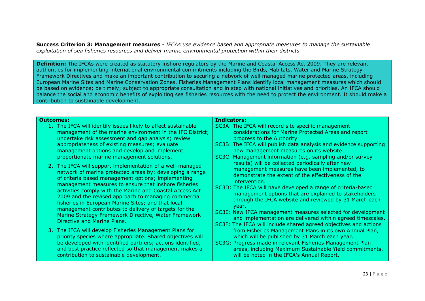**Success Criterion 3: Management measures** *- IFCAs use evidence based and appropriate measures to manage the sustainable exploitation of sea fisheries resources and deliver marine environmental protection within their districts*

**Definition:** The IFCAs were created as statutory inshore regulators by the Marine and Coastal Access Act 2009. They are relevant authorities for implementing international environmental commitments including the Birds, Habitats, Water and Marine Strategy Framework Directives and make an important contribution to securing a network of well managed marine protected areas, including European Marine Sites and Marine Conservation Zones. Fisheries Management Plans identify local management measures which should be based on evidence; be timely; subject to appropriate consultation and in step with national initiatives and priorities. An IFCA should balance the social and economic benefits of exploiting sea fisheries resources with the need to protect the environment. It should make a contribution to sustainable development.

| Outcomes: |                                                                                                                                                                                                                                                                                                                                                                                                                                                                                                                                                               | <b>Indicators:</b>                                                                                                                                                                                                                                                                                                                                                                                                                                                                                                                                                     |
|-----------|---------------------------------------------------------------------------------------------------------------------------------------------------------------------------------------------------------------------------------------------------------------------------------------------------------------------------------------------------------------------------------------------------------------------------------------------------------------------------------------------------------------------------------------------------------------|------------------------------------------------------------------------------------------------------------------------------------------------------------------------------------------------------------------------------------------------------------------------------------------------------------------------------------------------------------------------------------------------------------------------------------------------------------------------------------------------------------------------------------------------------------------------|
|           | 1. The IFCA will identify issues likely to affect sustainable<br>management of the marine environment in the IFC District;<br>undertake risk assessment and gap analysis; review<br>appropriateness of existing measures; evaluate<br>management options and develop and implement<br>proportionate marine management solutions.                                                                                                                                                                                                                              | SC3A: The IFCA will record site specific management<br>considerations for Marine Protected Areas and report<br>progress to the Authority<br>SC3B: The IFCA will publish data analysis and evidence supporting<br>new management measures on its website.<br>SC3C: Management information (e.g. sampling and/or survey                                                                                                                                                                                                                                                  |
|           | 2. The IFCA will support implementation of a well-managed<br>network of marine protected areas by: developing a range<br>of criteria based management options; implementing<br>management measures to ensure that inshore fisheries<br>activities comply with the Marine and Coastal Access Act<br>2009 and the revised approach to managing commercial<br>fisheries in European Marine Sites; and that local<br>management contributes to delivery of targets for the<br>Marine Strategy Framework Directive, Water Framework<br>Directive and Marine Plans. | results) will be collected periodically after new<br>management measures have been implemented, to<br>demonstrate the extent of the effectiveness of the<br>intervention.<br>SC3D: The IFCA will have developed a range of criteria-based<br>management options that are explained to stakeholders<br>through the IFCA website and reviewed by 31 March each<br>year.<br>SC3E: New IFCA management measures selected for development<br>and implementation are delivered within agreed timescales.<br>SC3F: The IFCA will include shared agreed objectives and actions |
|           | 3. The IFCA will develop Fisheries Management Plans for<br>priority species where appropriate. Shared objectives will<br>be developed with identified partners; actions identified,<br>and best practice reflected so that management makes a<br>contribution to sustainable development.                                                                                                                                                                                                                                                                     | from Fisheries Management Plans in its own Annual Plan,<br>which will be published by 31 March each year.<br>SC3G: Progress made in relevant Fisheries Management Plan<br>areas, including Maximum Sustainable Yield commitments,<br>will be noted in the IFCA's Annual Report.                                                                                                                                                                                                                                                                                        |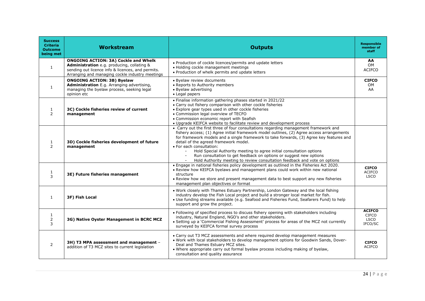| <b>Success</b><br><b>Criteria</b><br><b>Outcome</b><br>being met | Workstream                                                                                                                                                                                        | <b>Outputs</b>                                                                                                                                                                                                                                                                                                                                                                                                                                                                                                                                                                 | <b>Responsible</b><br>member of<br>staff                |
|------------------------------------------------------------------|---------------------------------------------------------------------------------------------------------------------------------------------------------------------------------------------------|--------------------------------------------------------------------------------------------------------------------------------------------------------------------------------------------------------------------------------------------------------------------------------------------------------------------------------------------------------------------------------------------------------------------------------------------------------------------------------------------------------------------------------------------------------------------------------|---------------------------------------------------------|
| 1                                                                | <b>ONGOING ACTION: 3A) Cockle and Whelk</b><br>Administration e.g. producing, collating &<br>sending out licence info & licences, and permits.<br>Arranging and managing cockle industry meetings | . Production of cockle licences/permits and update letters<br>• Holding cockle management meetings<br>. Production of whelk permits and update letters                                                                                                                                                                                                                                                                                                                                                                                                                         | AA<br>OM<br><b>ACIFCO</b>                               |
| 1                                                                | <b>ONGOING ACTION: 3B) Byelaw</b><br>Administration E.g. Arranging advertising,<br>managing the byelaw process, seeking legal<br>opinion etc                                                      | • Byelaw review documents<br>• Reports to Authority members<br>• Byelaw advertising<br>• Legal papers                                                                                                                                                                                                                                                                                                                                                                                                                                                                          | <b>CIFCO</b><br>OM.<br>AA                               |
| $\mathbf{1}$<br>2                                                | 3C) Cockle fisheries review of current<br>management                                                                                                                                              | • Finalise information gathering phases started in 2021/22<br>• Carry out fishery comparison with other cockle fisheries<br>• Explore gear types used in other cockle fisheries<br>• Commission legal overview of TECFO<br>• Commission economic report with Seafish<br>• Upgrade KEIFCA website to facilitate review and development process                                                                                                                                                                                                                                  |                                                         |
| 1<br>$\mathcal{P}$                                               | 3D) Cockle fisheries development of future<br>management                                                                                                                                          | • Carry out the first three of four consultations regarding management framework and<br>fishery access; (1) Agree initial framework model outlines, (2) Agree access arrangements<br>for framework models and a single framework to take forwards, (3) Agree key features and<br>detail of the agreed framework model.<br>· For each consultation:<br>Hold Special Authority meeting to agree initial consultation options<br>Run consultation to get feedback on options or suggest new options<br>Hold Authority meeting to review consultation feedback and vote on options |                                                         |
| 1<br>3                                                           | 3E) Future fisheries management                                                                                                                                                                   | . Engage in national fisheries policy development as outlined in the Fisheries Act 2020.<br>. Review how KEIFCA byelaws and management plans could work within new national<br>structure<br>• Review how we store and present management data to best support any new fisheries<br>management plan objectives or format                                                                                                                                                                                                                                                        | <b>CIFCO</b><br><b>ACIFCO</b><br><b>LSCO</b>            |
| 1                                                                | 3F) Fish Local                                                                                                                                                                                    | . Work closely with Thames Estuary Partnership, London Gateway and the local fishing<br>industry develop the Fish Local project and build a stronger local market for fish.<br>• Use funding streams available (e.g. Seafood and Fisheries Fund, Seafarers Fund) to help<br>support and grow the project.                                                                                                                                                                                                                                                                      |                                                         |
| $\mathbf{1}$<br>2<br>3                                           | 3G) Native Oyster Management in BCRC MCZ                                                                                                                                                          | • Following of specified process to discuss fishery opening with stakeholders including<br>industry, Natural England, NGO's and other stakeholders.<br>• Setting up a 'Commercial Fishing Assessment' process for areas of the MCZ not currently<br>surveyed by KEIFCA formal survey process                                                                                                                                                                                                                                                                                   | <b>ACIFCO</b><br><b>CIFCO</b><br><b>LSCO</b><br>IFCO/SC |
| 2                                                                | 3H) T3 MPA assessment and management -<br>addition of T3 MCZ sites to current legislation                                                                                                         | • Carry out T3 MCZ assessments and where required develop management measures<br>. Work with local stakeholders to develop management options for Goodwin Sands, Dover-<br>Deal and Thames Estuary MCZ sites.<br>. Where appropriate carry out formal byelaw process including making of byelaw,<br>consultation and quality assurance                                                                                                                                                                                                                                         | <b>CIFCO</b><br><b>ACIFCO</b>                           |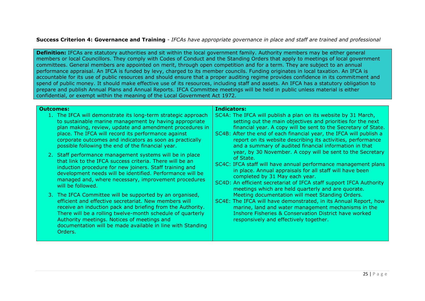## **Success Criterion 4: Governance and Training** *- IFCAs have appropriate governance in place and staff are trained and professional*

**Definition:** IFCAs are statutory authorities and sit within the local government family. Authority members may be either general members or local Councillors. They comply with Codes of Conduct and the Standing Orders that apply to meetings of local government committees. General members are appointed on merit, through open competition and for a term. They are subject to an annual performance appraisal. An IFCA is funded by levy, charged to its member councils. Funding originates in local taxation. An IFCA is accountable for its use of public resources and should ensure that a proper auditing regime provides confidence in its commitment and spend of public money. It should make effective use of its resources, including staff and assets. An IFCA has a statutory obligation to prepare and publish Annual Plans and Annual Reports. IFCA Committee meetings will be held in public unless material is either confidential, or exempt within the meaning of the Local Government Act 1972.

#### **Outcomes:**

- 1. The IFCA will demonstrate its long-term strategic approach to sustainable marine management by having appropriate plan making, review, update and amendment procedures in place. The IFCA will record its performance against corporate outcomes and indicators as soon as practically possible following the end of the financial year.
- 2. Staff performance management systems will be in place that link to the IFCA success criteria. There will be an induction procedure for new joiners. Staff training and development needs will be identified. Performance will be managed and, where necessary, improvement procedures will be followed.
- 3. The IFCA Committee will be supported by an organised, efficient and effective secretariat. New members will receive an induction pack and briefing from the Authority. There will be a rolling twelve-month schedule of quarterly Authority meetings. Notices of meetings and documentation will be made available in line with Standing Orders.

#### **Indicators:**

- SC4A: The IFCA will publish a plan on its website by 31 March, setting out the main objectives and priorities for the next financial year. A copy will be sent to the Secretary of State.
- SC4B: After the end of each financial year, the IFCA will publish a report on its website describing its activities, performance and a summary of audited financial information in that year, by 30 November. A copy will be sent to the Secretary of State.
- SC4C: IFCA staff will have annual performance management plans in place. Annual appraisals for all staff will have been completed by 31 May each year.
- SC4D: An efficient secretariat of IFCA staff support IFCA Authority meetings which are held quarterly and are quorate. Meeting documentation will meet Standing Orders.
- SC4E: The IFCA will have demonstrated, in its Annual Report, how marine, land and water management mechanisms in the Inshore Fisheries & Conservation District have worked responsively and effectively together.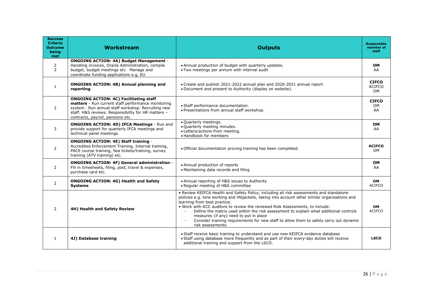| <b>Success</b><br><b>Criteria</b><br><b>Outcome</b><br>being<br>met | Workstream                                                                                                                                                                                                                                           | <b>Outputs</b>                                                                                                                                                                                                                                                                                                                                                                                                                                                                                                                                                | <b>Responsible</b><br>member of<br>staff |
|---------------------------------------------------------------------|------------------------------------------------------------------------------------------------------------------------------------------------------------------------------------------------------------------------------------------------------|---------------------------------------------------------------------------------------------------------------------------------------------------------------------------------------------------------------------------------------------------------------------------------------------------------------------------------------------------------------------------------------------------------------------------------------------------------------------------------------------------------------------------------------------------------------|------------------------------------------|
| 2<br>3                                                              | <b>ONGOING ACTION: 4A) Budget Management -</b><br>Handling invoices, Oracle Administration, compile<br>budget, budget meetings etc. Manage and<br>coordinate funding applications e.g. EU                                                            | • Annual production of budget with quarterly updates.<br>• Two meetings per annum with internal audit                                                                                                                                                                                                                                                                                                                                                                                                                                                         | <b>OM</b><br>AA                          |
| $\mathbf{1}$                                                        | <b>ONGOING ACTION: 4B) Annual planning and</b><br>reporting                                                                                                                                                                                          | • Create and publish 2021-2022 annual plan and 2020-2021 annual report<br>• Document and present to Authority (display on website).                                                                                                                                                                                                                                                                                                                                                                                                                           | <b>CIFCO</b><br><b>ACIFCO</b><br>OM      |
| 2                                                                   | <b>ONGOING ACTION: 4C) Facilitating staff</b><br>matters - Run current staff performance monitoring<br>system. Run annual staff workshop. Recruiting new<br>staff. H&S reviews. Responsibility for HR matters -<br>contracts, payroll, pensions etc. | • Staff performance documentation.<br>• Presentations from annual staff workshop.                                                                                                                                                                                                                                                                                                                                                                                                                                                                             | <b>CIFCO</b><br>OM.<br>AA                |
| 3                                                                   | <b>ONGOING ACTION: 4D) IFCA Meetings - Run and</b><br>provide support for quarterly IFCA meetings and<br>technical panel meetings.                                                                                                                   | • Quarterly meetings.<br>. Quarterly meeting minutes.<br>· Letters/actions from meeting.<br>• Handbook for members                                                                                                                                                                                                                                                                                                                                                                                                                                            | OM<br>AA                                 |
| $\mathbf{2}^{\prime}$                                               | <b>ONGOING ACTION: 4E) Staff training -</b><br>Accredited Enforcement Training, Internal training,<br>PACE course training, Sea tickets/training, survey<br>training (ATV training) etc.                                                             | . Official documentation proving training has been completed.                                                                                                                                                                                                                                                                                                                                                                                                                                                                                                 | <b>ACIFCO</b><br>OM                      |
| 2                                                                   | ONGOING ACTION: 4F) General administration -<br>Fill in timesheets, filing, post, travel & expenses,<br>purchase card etc.                                                                                                                           | • Annual production of reports<br>• Maintaining data records and filing                                                                                                                                                                                                                                                                                                                                                                                                                                                                                       | <b>OM</b><br>AA                          |
| $\mathbf{2}^{\prime}$                                               | <b>ONGOING ACTION: 4G) Health and Safety</b><br><b>Systems</b>                                                                                                                                                                                       | • Annual reporting of H&S issues to Authority<br>• Regular meeting of H&S committee                                                                                                                                                                                                                                                                                                                                                                                                                                                                           | OM<br><b>ACIFCO</b>                      |
| 2                                                                   | 4H) Health and Safety Review                                                                                                                                                                                                                         | • Review KEIFCA Health and Safety Policy, including all risk assessments and standalone<br>policies e.g. lone working and lifejackets, taking into account other similar organisations and<br>learning from best practice.<br>. Work with KCC auditors to review the reviewed Risk Assessments, to include:<br>Define the matrix used within the risk assessment to explain what additional controls<br>measures (if any) need to put in place<br>Consider training requirements for new staff to allow them to safely carry out dynamic<br>risk assessments. | OM<br><b>ACIFCO</b>                      |
| $\mathbf{1}$                                                        | 4J) Database training                                                                                                                                                                                                                                | • Staff receive basic training to understand and use new KEIFCA evidence database<br>. Staff using database more frequently and as part of their every-day duties will receive<br>additional training and support from the LSCO.                                                                                                                                                                                                                                                                                                                              | <b>LSCO</b>                              |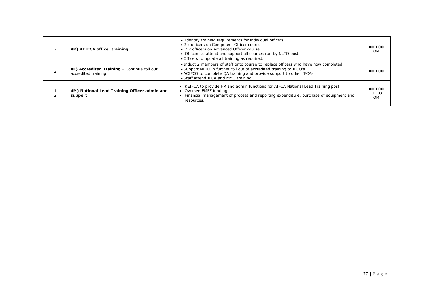| 4K) KEIFCA officer training                                        | • Identify training requirements for individual officers<br>• 2 x officers on Competent Officer course<br>• 2 x officers on Advanced Officer course<br>• Officers to attend and support all courses run by NLTO post.<br>. Officers to update all training as required.     | <b>ACIFCO</b><br>OM                 |
|--------------------------------------------------------------------|-----------------------------------------------------------------------------------------------------------------------------------------------------------------------------------------------------------------------------------------------------------------------------|-------------------------------------|
| 4L) Accredited Training - Continue roll out<br>accredited training | . Induct 2 members of staff onto course to replace officers who have now completed.<br>• Support NLTO in further roll out of accredited training to IFCO's.<br>• ACIFCO to complete QA training and provide support to other IFCAs.<br>• Staff attend IFCA and MMO training | <b>ACIFCO</b>                       |
| 4M) National Lead Training Officer admin and<br>support            | • KEIFCA to provide HR and admin functions for AIFCA National Lead Training post<br>Oversee EMFF funding<br>Financial management of process and reporting expenditure, purchase of equipment and<br>resources.                                                              | <b>ACIFCO</b><br><b>CIFCO</b><br>OM |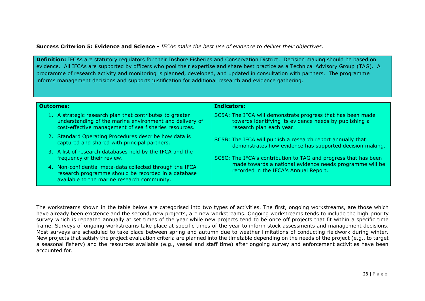**Success Criterion 5: Evidence and Science** *- IFCAs make the best use of evidence to deliver their objectives.*

**Definition:** IFCAs are statutory regulators for their Inshore Fisheries and Conservation District. Decision making should be based on evidence. All IFCAs are supported by officers who pool their expertise and share best practice as a Technical Advisory Group (TAG). A programme of research activity and monitoring is planned, developed, and updated in consultation with partners. The programme informs management decisions and supports justification for additional research and evidence gathering.

| <b>Outcomes:</b>                                                                                                                                                                | Indicators:                                                                                                                                       |  |  |  |  |
|---------------------------------------------------------------------------------------------------------------------------------------------------------------------------------|---------------------------------------------------------------------------------------------------------------------------------------------------|--|--|--|--|
| A strategic research plan that contributes to greater<br>1.<br>understanding of the marine environment and delivery of<br>cost-effective management of sea fisheries resources. | SC5A: The IFCA will demonstrate progress that has been made<br>towards identifying its evidence needs by publishing a<br>research plan each year. |  |  |  |  |
| 2. Standard Operating Procedures describe how data is<br>captured and shared with principal partners.                                                                           | SC5B: The IFCA will publish a research report annually that<br>demonstrates how evidence has supported decision making.                           |  |  |  |  |
| 3. A list of research databases held by the IFCA and the<br>frequency of their review.                                                                                          | SC5C: The IFCA's contribution to TAG and progress that has been                                                                                   |  |  |  |  |
| 4. Non-confidential meta-data collected through the IFCA<br>research programme should be recorded in a database<br>available to the marine research community.                  | made towards a national evidence needs programme will be<br>recorded in the IFCA's Annual Report.                                                 |  |  |  |  |

The workstreams shown in the table below are categorised into two types of activities. The first, ongoing workstreams, are those which have already been existence and the second, new projects, are new workstreams. Ongoing workstreams tends to include the high priority survey which is repeated annually at set times of the year while new projects tend to be once off projects that fit within a specific time frame. Surveys of ongoing workstreams take place at specific times of the year to inform stock assessments and management decisions. Most surveys are scheduled to take place between spring and autumn due to weather limitations of conducting fieldwork during winter. New projects that satisfy the project evaluation criteria are planned into the timetable depending on the needs of the project (e.g., to target a seasonal fishery) and the resources available (e.g., vessel and staff time) after ongoing survey and enforcement activities have been accounted for.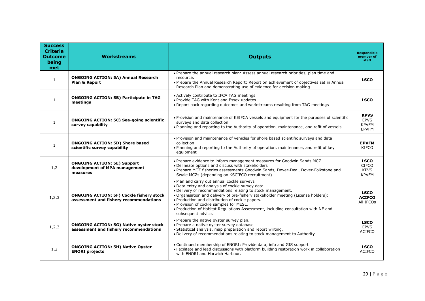| <b>Success</b><br><b>Criteria</b><br><b>Outcome</b><br>being<br>met | <b>Workstreams</b>                                                                        | <b>Outputs</b>                                                                                                                                                                                                                                                                                                                                                                                                                                               | <b>Responsible</b><br>member of<br>staff                   |
|---------------------------------------------------------------------|-------------------------------------------------------------------------------------------|--------------------------------------------------------------------------------------------------------------------------------------------------------------------------------------------------------------------------------------------------------------------------------------------------------------------------------------------------------------------------------------------------------------------------------------------------------------|------------------------------------------------------------|
| $\mathbf{1}$                                                        | <b>ONGOING ACTION: 5A) Annual Research</b><br>Plan & Report                               | . Prepare the annual research plan: Assess annual research priorities, plan time and<br>resource.<br>• Prepare the Annual Research Report: Report on achievement of objectives set in Annual<br>Research Plan and demonstrating use of evidence for decision making                                                                                                                                                                                          | <b>LSCO</b>                                                |
| $\mathbf{1}$                                                        | <b>ONGOING ACTION: 5B) Participate in TAG</b><br>meetings                                 | • Actively contribute to IFCA TAG meetings<br>• Provide TAG with Kent and Essex updates<br>. Report back regarding outcomes and workstreams resulting from TAG meetings                                                                                                                                                                                                                                                                                      | <b>LSCO</b>                                                |
| $\mathbf{1}$                                                        | <b>ONGOING ACTION: 5C) Sea-going scientific</b><br>survey capability                      | . Provision and maintenance of KEIFCA vessels and equipment for the purposes of scientific<br>surveys and data collection<br>. Planning and reporting to the Authority of operation, maintenance, and refit of vessels                                                                                                                                                                                                                                       | <b>KPVS</b><br><b>EPVS</b><br><b>KPVFM</b><br><b>EPVFM</b> |
| $\mathbf{1}$                                                        | <b>ONGOING ACTION: 5D) Shore based</b><br>scientific survey capability                    | . Provision and maintenance of vehicles for shore based scientific surveys and data<br>collection<br>. Planning and reporting to the Authority of operation, maintenance, and refit of key<br>equipment                                                                                                                                                                                                                                                      | <b>EPVFM</b><br>KIFCO                                      |
| 1,2                                                                 | <b>ONGOING ACTION: 5E) Support</b><br>development of MPA management<br>measures           | • Prepare evidence to inform management measures for Goodwin Sands MCZ<br>. Delineate options and discuss with stakeholders<br>. Prepare MCZ fisheries assessments Goodwin Sands, Dover-Deal, Dover-Folkstone and<br>Swale MCZs (depending on KSCIFCO recruitment)                                                                                                                                                                                           | <b>LSCO</b><br><b>CIFCO</b><br><b>KPVS</b><br><b>KPVFM</b> |
| 1, 2, 3                                                             | <b>ONGOING ACTION: 5F) Cockle fishery stock</b><br>assessment and fishery recommendations | . Plan and carry out annual cockle surveys<br>. Data entry and analysis of cockle survey data.<br>. Delivery of recommendations relating to stock management.<br>• Organisation and delivery of pre-fishery stakeholder meeting (License holders):<br>. Production and distribution of cockle papers.<br>. Provision of cockle samples for MESL.<br>. Production of Habitat Regulations Assessment, including consultation with NE and<br>subsequent advice. | <b>LSCO</b><br><b>ACIFCO</b><br>All IFCOs                  |
| 1, 2, 3                                                             | <b>ONGOING ACTION: 5G) Native oyster stock</b><br>assessment and fishery recommendations  | • Prepare the native oyster survey plan.<br>· Prepare a native oyster survey database<br>• Statistical analysis, map preparation and report writing.<br>• Delivery of recommendations relating to stock management to Authority                                                                                                                                                                                                                              | <b>LSCO</b><br><b>EPVS</b><br><b>ACIFCO</b>                |
| 1,2                                                                 | <b>ONGOING ACTION: 5H) Native Oyster</b><br><b>ENORI projects</b>                         | • Continued membership of ENORI: Provide data, info and GIS support<br>• Facilitate and lead discussions with platform building restoration work in collaboration<br>with ENORI and Harwich Harbour.                                                                                                                                                                                                                                                         | <b>LSCO</b><br><b>ACIFCO</b>                               |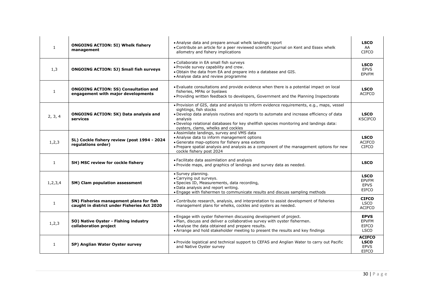| 1            | <b>ONGOING ACTION: 5I) Whelk fishery</b><br>management                                 | • Analyse data and prepare annual whelk landings report<br>• Contribute an article for a peer reviewed scientific journal on Kent and Essex whelk<br>allometry and fishery implications                                                                                                                                                                     | <b>LSCO</b><br>AA<br><b>CIFCO</b>                           |
|--------------|----------------------------------------------------------------------------------------|-------------------------------------------------------------------------------------------------------------------------------------------------------------------------------------------------------------------------------------------------------------------------------------------------------------------------------------------------------------|-------------------------------------------------------------|
| 1,3          | <b>ONGOING ACTION: 5J) Small fish surveys</b>                                          | • Collaborate in EA small fish surveys<br>. Provide survey capability and crew.<br>. Obtain the data from EA and prepare into a database and GIS.<br>• Analyse data and review programme                                                                                                                                                                    | <b>LSCO</b><br><b>EPVS</b><br><b>EPVFM</b>                  |
| $\mathbf{1}$ | <b>ONGOING ACTION: 5S) Consultation and</b><br>engagement with major developments      | • Evaluate consultations and provide evidence when there is a potential impact on local<br>fisheries, MPAs or byelaws<br>• Providing written feedback to developers, Government and the Planning Inspectorate                                                                                                                                               | <b>LSCO</b><br><b>ACIFCO</b>                                |
| 2, 3, 4      | <b>ONGOING ACTION: 5K) Data analysis and</b><br>services                               | . Provision of GIS, data and analysis to inform evidence requirements, e.g., maps, vessel<br>sightings, fish stocks<br>• Develop data analysis routines and reports to automate and increase efficiency of data<br>analysis<br>. Develop relational databases for key shellfish species monitoring and landings data:<br>oysters, clams, whelks and cockles | <b>LSCO</b><br><b>KSCIFCO</b>                               |
| 1, 2, 3      | 5L) Cockle fishery review (post 1994 - 2024<br>regulations order)                      | • Assimilate landings, survey and VMS data<br>• Analyse data to inform management options<br>• Generate map-options for fishery area extents<br>• Prepare spatial analysis and analysis as a component of the management options for new<br>cockle fishery post 2024                                                                                        | <b>LSCO</b><br><b>ACIFCO</b><br><b>CIFCO</b>                |
| $\mathbf{1}$ | 5H) MSC review for cockle fishery                                                      | • Facilitate data assimilation and analysis<br>. Provide maps, and graphics of landings and survey data as needed.                                                                                                                                                                                                                                          | <b>LSCO</b>                                                 |
| 1, 2, 3, 4   | 5M) Clam population assessment                                                         | • Survey planning.<br>• Carrying out surveys.<br>· Species ID, Measurements, data recording,<br>. Data analysis and report writing.<br>. Engage with fishermen to communicate results and discuss sampling methods                                                                                                                                          | <b>LSCO</b><br><b>EPVFM</b><br><b>EPVS</b><br><b>EIFCO</b>  |
| $\mathbf{1}$ | 5N) Fisheries management plans for fish<br>caught in district under Fisheries Act 2020 | • Contribute research, analysis, and interpretation to assist development of fisheries<br>management plans for whelks, cockles and oysters as needed.                                                                                                                                                                                                       | <b>CIFCO</b><br><b>LSCO</b><br><b>ACIFCO</b>                |
| 1, 2, 3      | 50) Native Oyster - Fishing industry<br>collaboration project                          | . Engage with oyster fishermen discussing development of project.<br>. Plan, discuss and deliver a collaborative survey with oyster fishermen.<br>• Analyse the data obtained and prepare results.<br>• Arrange and hold stakeholder meeting to present the results and key findings                                                                        | <b>EPVS</b><br><b>EPVFM</b><br><b>EIFCO</b><br><b>LSCO</b>  |
| $\mathbf{1}$ | 5P) Anglian Water Oyster survey                                                        | • Provide logistical and technical support to CEFAS and Anglian Water to carry out Pacific<br>and Native Oyster survey                                                                                                                                                                                                                                      | <b>ACIFCO</b><br><b>LSCO</b><br><b>EPVS</b><br><b>EIFCO</b> |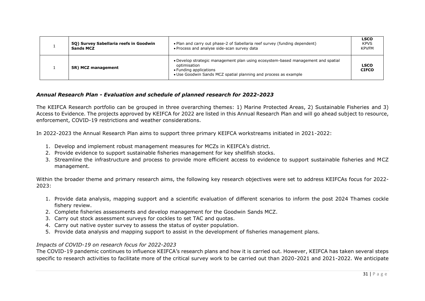| 50) Survey Sabellaria reefs in Goodwin<br><b>Sands MCZ</b> | . Plan and carry out phase-2 of Sabellaria reef survey (funding dependent)<br>• Process and analyse side-scan survey data                                                                     | <b>LSCO</b><br><b>KPVS</b><br><b>KPVFM</b> |
|------------------------------------------------------------|-----------------------------------------------------------------------------------------------------------------------------------------------------------------------------------------------|--------------------------------------------|
| 5R) MCZ management                                         | • Develop strategic management plan using ecosystem-based management and spatial<br>optimisation<br>• Funding applications<br>• Use Goodwin Sands MCZ spatial planning and process as example | <b>LSCO</b><br><b>CIFCO</b>                |

## *Annual Research Plan - Evaluation and schedule of planned research for 2022-2023*

The KEIFCA Research portfolio can be grouped in three overarching themes: 1) Marine Protected Areas, 2) Sustainable Fisheries and 3) Access to Evidence. The projects approved by KEIFCA for 2022 are listed in this Annual Research Plan and will go ahead subject to resource, enforcement, COVID-19 restrictions and weather considerations.

In 2022-2023 the Annual Research Plan aims to support three primary KEIFCA workstreams initiated in 2021-2022:

- 1. Develop and implement robust management measures for MCZs in KEIFCA's district.
- 2. Provide evidence to support sustainable fisheries management for key shellfish stocks.
- 3. Streamline the infrastructure and process to provide more efficient access to evidence to support sustainable fisheries and MCZ management.

Within the broader theme and primary research aims, the following key research objectives were set to address KEIFCAs focus for 2022- 2023:

- 1. Provide data analysis, mapping support and a scientific evaluation of different scenarios to inform the post 2024 Thames cockle fishery review.
- 2. Complete fisheries assessments and develop management for the Goodwin Sands MCZ.
- 3. Carry out stock assessment surveys for cockles to set TAC and quotas.
- 4. Carry out native oyster survey to assess the status of oyster population.
- 5. Provide data analysis and mapping support to assist in the development of fisheries management plans.

## *Impacts of COVID-19 on research focus for 2022-2023*

The COVID-19 pandemic continues to influence KEIFCA's research plans and how it is carried out. However, KEIFCA has taken several steps specific to research activities to facilitate more of the critical survey work to be carried out than 2020-2021 and 2021-2022. We anticipate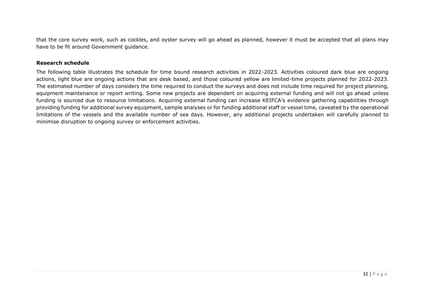that the core survey work, such as cockles, and oyster survey will go ahead as planned, however it must be accepted that all plans may have to be fit around Government guidance.

#### **Research schedule**

The following table illustrates the schedule for time bound research activities in 2022-2023. Activities coloured dark blue are ongoing actions, light blue are ongoing actions that are desk based, and those coloured yellow are limited-time projects planned for 2022-2023. The estimated number of days considers the time required to conduct the surveys and does not include time required for project planning, equipment maintenance or report writing. Some new projects are dependent on acquiring external funding and will not go ahead unless funding is sourced due to resource limitations. Acquiring external funding can increase KEIFCA's evidence gathering capabilities through providing funding for additional survey equipment, sample analyses or for funding additional staff or vessel time, caveated by the operational limitations of the vessels and the available number of sea days. However, any additional projects undertaken will carefully planned to minimise disruption to ongoing survey or enforcement activities.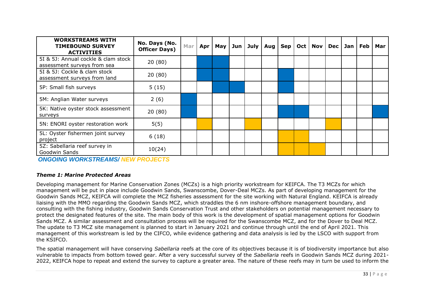| <b>WORKSTREAMS WITH</b><br><b>TIMEBOUND SURVEY</b><br><b>ACTIVITIES</b> | No. Days (No.<br><b>Officer Days)</b> | Mar | Apr | <b>May</b> | Jun | July | Aug | <b>Sep</b> | Oct   Nov   Dec | Jan | Feb | Mar |
|-------------------------------------------------------------------------|---------------------------------------|-----|-----|------------|-----|------|-----|------------|-----------------|-----|-----|-----|
| 5I & 5J: Annual cockle & clam stock<br>assessment surveys from sea      | 20(80)                                |     |     |            |     |      |     |            |                 |     |     |     |
| 5I & 5J: Cockle & clam stock<br>assessment surveys from land            | 20(80)                                |     |     |            |     |      |     |            |                 |     |     |     |
| 5P: Small fish surveys                                                  | 5(15)                                 |     |     |            |     |      |     |            |                 |     |     |     |
| 5M: Anglian Water surveys                                               | 2(6)                                  |     |     |            |     |      |     |            |                 |     |     |     |
| 5K: Native oyster stock assessment<br>surveys                           | 20(80)                                |     |     |            |     |      |     |            |                 |     |     |     |
| 5N: ENORI oyster restoration work                                       | 5(5)                                  |     |     |            |     |      |     |            |                 |     |     |     |
| 5L: Oyster fishermen joint survey<br>project                            | 6(18)                                 |     |     |            |     |      |     |            |                 |     |     |     |
| 5Z: Sabellaria reef survey in<br>Goodwin Sands                          | 10(24)                                |     |     |            |     |      |     |            |                 |     |     |     |

*ONGOING WORKSTREAMS/ NEW PROJECTS*

## *Theme 1: Marine Protected Areas*

Developing management for Marine Conservation Zones (MCZs) is a high priority workstream for KEIFCA. The T3 MCZs for which management will be put in place include Goodwin Sands, Swanscombe, Dover-Deal MCZs. As part of developing management for the Goodwin Sands MCZ, KEIFCA will complete the MCZ fisheries assessment for the site working with Natural England. KEIFCA is already liaising with the MMO regarding the Goodwin Sands MCZ, which straddles the 6 nm inshore-offshore management boundary, and consulting with the fishing industry, Goodwin Sands Conservation Trust and other stakeholders on potential management necessary to protect the designated features of the site. The main body of this work is the development of spatial management options for Goodwin Sands MCZ. A similar assessment and consultation process will be required for the Swanscombe MCZ, and for the Dover to Deal MCZ. The update to T3 MCZ site management is planned to start in January 2021 and continue through until the end of April 2021. This management of this workstream is led by the CIFCO, while evidence gathering and data analysis is led by the LSCO with support from the KSIFCO.

The spatial management will have conserving *Sabellaria* reefs at the core of its objectives because it is of biodiversity importance but also vulnerable to impacts from bottom towed gear. After a very successful survey of the *Sabellaria* reefs in Goodwin Sands MCZ during 2021- 2022, KEIFCA hope to repeat and extend the survey to capture a greater area. The nature of these reefs may in turn be used to inform the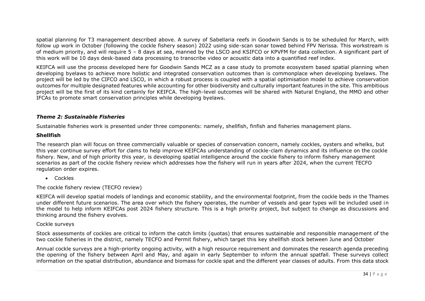spatial planning for T3 management described above. A survey of Sabellaria reefs in Goodwin Sands is to be scheduled for March, with follow up work in October (following the cockle fishery season) 2022 using side-scan sonar towed behind FPV Nerissa. This workstream is of medium priority, and will require 5 – 8 days at sea, manned by the LSCO and KSIFCO or KPVFM for data collection. A significant part of this work will be 10 days desk-based data processing to transcribe video or acoustic data into a quantified reef index.

KEIFCA will use the process developed here for Goodwin Sands MCZ as a case study to promote ecosystem based spatial planning when developing byelaws to achieve more holistic and integrated conservation outcomes than is commonplace when developing byelaws. The project will be led by the CIFCO and LSCO, in which a robust process is coupled with a spatial optimisation model to achieve conservation outcomes for multiple designated features while accounting for other biodiversity and culturally important features in the site. This ambitious project will be the first of its kind certainly for KEIFCA. The high-level outcomes will be shared with Natural England, the MMO and other IFCAs to promote smart conservation principles while developing byelaws.

## *Theme 2: Sustainable Fisheries*

Sustainable fisheries work is presented under three components: namely, shellfish, finfish and fisheries management plans.

## **Shellfish**

The research plan will focus on three commercially valuable or species of conservation concern, namely cockles, oysters and whelks, but this year continue survey effort for clams to help improve KEIFCAs understanding of cockle-clam dynamics and its influence on the cockle fishery. New, and of high priority this year, is developing spatial intelligence around the cockle fishery to inform fishery management scenarios as part of the cockle fishery review which addresses how the fishery will run in years after 2024, when the current TECFO regulation order expires.

• Cockles

The cockle fishery review (TECFO review)

KEIFCA will develop spatial models of landings and economic stability, and the environmental footprint, from the cockle beds in the Thames under different future scenarios. The area over which the fishery operates, the number of vessels and gear types will be included used in the model to help inform KEIFCAs post 2024 fishery structure. This is a high priority project, but subject to change as discussions and thinking around the fishery evolves.

## Cockle surveys

Stock assessments of cockles are critical to inform the catch limits (quotas) that ensures sustainable and responsible management of the two cockle fisheries in the district, namely TECFO and Permit fishery, which target this key shellfish stock between June and October

Annual cockle surveys are a high-priority ongoing activity, with a high resource requirement and dominates the research agenda preceding the opening of the fishery between April and May, and again in early September to inform the annual spatfall. These surveys collect information on the spatial distribution, abundance and biomass for cockle spat and the different year classes of adults. From this data stock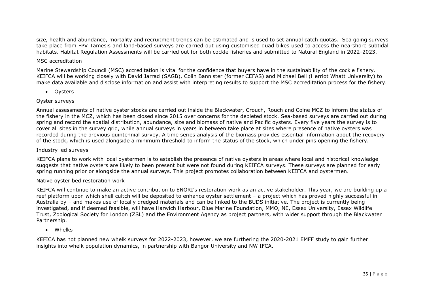size, health and abundance, mortality and recruitment trends can be estimated and is used to set annual catch quotas. Sea going surveys take place from FPV Tamesis and land-based surveys are carried out using customised quad bikes used to access the nearshore subtidal habitats. Habitat Regulation Assessments will be carried out for both cockle fisheries and submitted to Natural England in 2022-2023.

## MSC accreditation

Marine Stewardship Council (MSC) accreditation is vital for the confidence that buyers have in the sustainability of the cockle fishery. KEIFCA will be working closely with David Jarrad (SAGB), Colin Bannister (former CEFAS) and Michael Bell (Herriot Whatt University) to make data available and disclose information and assist with interpreting results to support the MSC accreditation process for the fishery.

• Oysters

## Oyster surveys

Annual assessments of native oyster stocks are carried out inside the Blackwater, Crouch, Rouch and Colne MCZ to inform the status of the fishery in the MCZ, which has been closed since 2015 over concerns for the depleted stock. Sea-based surveys are carried out during spring and record the spatial distribution, abundance, size and biomass of native and Pacific oysters. Every five years the survey is to cover all sites in the survey grid, while annual surveys in years in between take place at sites where presence of native oysters was recorded during the previous quintennial survey. A time series analysis of the biomass provides essential information about the recovery of the stock, which is used alongside a minimum threshold to inform the status of the stock, which under pins opening the fishery.

## Industry led surveys

KEIFCA plans to work with local oystermen is to establish the presence of native oysters in areas where local and historical knowledge suggests that native oysters are likely to been present but were not found during KEIFCA surveys. These surveys are planned for early spring running prior or alongside the annual surveys. This project promotes collaboration between KEIFCA and oystermen.

## Native oyster bed restoration work

KEIFCA will continue to make an active contribution to ENORI's restoration work as an active stakeholder. This year, we are building up a reef platform upon which shell cultch will be deposited to enhance oyster settlement – a project which has proved highly successful in Australia by – and makes use of locally dredged materials and can be linked to the BUDS initiative. The project is currently being investigated, and if deemed feasible, will have Harwich Harbour, Blue Marine Foundation, MMO, NE, Essex University, Essex Wildlife Trust, Zoological Society for London (ZSL) and the Environment Agency as project partners, with wider support through the Blackwater Partnership.

• Whelks

KEFICA has not planned new whelk surveys for 2022-2023, however, we are furthering the 2020-2021 EMFF study to gain further insights into whelk population dynamics, in partnership with Bangor University and NW IFCA.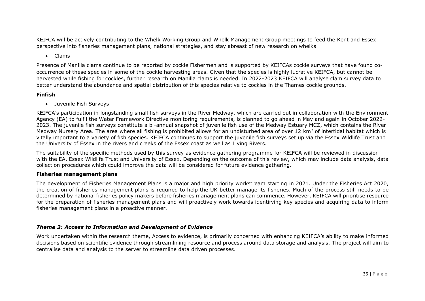KEIFCA will be actively contributing to the Whelk Working Group and Whelk Management Group meetings to feed the Kent and Essex perspective into fisheries management plans, national strategies, and stay abreast of new research on whelks.

• Clams

Presence of Manilla clams continue to be reported by cockle Fishermen and is supported by KEIFCAs cockle surveys that have found cooccurrence of these species in some of the cockle harvesting areas. Given that the species is highly lucrative KEIFCA, but cannot be harvested while fishing for cockles, further research on Manilla clams is needed. In 2022-2023 KEIFCA will analyse clam survey data to better understand the abundance and spatial distribution of this species relative to cockles in the Thames cockle grounds.

## **Finfish**

• Juvenile Fish Surveys

KEIFCA's participation in longstanding small fish surveys in the River Medway, which are carried out in collaboration with the Environment Agency (EA) to fulfil the Water Framework Directive monitoring requirements, is planned to go ahead in May and again in October 2022- 2023. The juvenile fish surveys constitute a bi-annual snapshot of juvenile fish use of the Medway Estuary MCZ, which contains the River Medway Nursery Area. The area where all fishing is prohibited allows for an undisturbed area of over 12 km<sup>2</sup> of intertidal habitat which is vitally important to a variety of fish species. KEIFCA continues to support the juvenile fish surveys set up via the Essex Wildlife Trust and the University of Essex in the rivers and creeks of the Essex coast as well as Living Rivers.

The suitability of the specific methods used by this survey as evidence gathering programme for KEIFCA will be reviewed in discussion with the EA, Essex Wildlife Trust and University of Essex. Depending on the outcome of this review, which may include data analysis, data collection procedures which could improve the data will be considered for future evidence gathering.

## **Fisheries management plans**

The development of Fisheries Management Plans is a major and high priority workstream starting in 2021. Under the Fisheries Act 2020, the creation of fisheries management plans is required to help the UK better manage its fisheries. Much of the process still needs to be determined by national fisheries policy makers before fisheries management plans can commence. However, KEIFCA will prioritise resource for the preparation of fisheries management plans and will proactively work towards identifying key species and acquiring data to inform fisheries management plans in a proactive manner.

## *Theme 3: Access to Information and Development of Evidence*

Work undertaken within the research theme, Access to evidence, is primarily concerned with enhancing KEIFCA's ability to make informed decisions based on scientific evidence through streamlining resource and process around data storage and analysis. The project will aim to centralise data and analysis to the server to streamline data driven processes.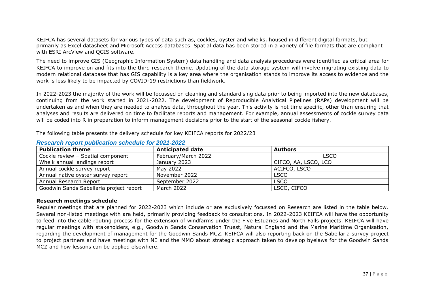KEIFCA has several datasets for various types of data such as, cockles, oyster and whelks, housed in different digital formats, but primarily as Excel datasheet and Microsoft Access databases. Spatial data has been stored in a variety of file formats that are compliant with ESRI ArcView and QGIS software.

The need to improve GIS (Geographic Information System) data handling and data analysis procedures were identified as critical area for KEIFCA to improve on and fits into the third research theme. Updating of the data storage system will involve migrating existing data to modern relational database that has GIS capability is a key area where the organisation stands to improve its access to evidence and the work is less likely to be impacted by COVID-19 restrictions than fieldwork.

In 2022-2023 the majority of the work will be focussed on cleaning and standardising data prior to being imported into the new databases, continuing from the work started in 2021-2022. The development of Reproducible Analytical Pipelines (RAPs) development will be undertaken as and when they are needed to analyse data, throughout the year. This activity is not time specific, other than ensuring that analyses and results are delivered on time to facilitate reports and management. For example, annual assessments of cockle survey data will be coded into R in preparation to inform management decisions prior to the start of the seasonal cockle fishery.

The following table presents the delivery schedule for key KEIFCA reports for 2022/23

| <b>Publication theme</b>                | <b>Anticipated date</b> | <b>Authors</b>       |
|-----------------------------------------|-------------------------|----------------------|
| Cockle review - Spatial component       | February/March 2022     | <b>LSCO</b>          |
| Whelk annual landings report            | January 2023            | CIFCO, AA, LSCO, LCO |
| Annual cockle survey report             | May 2022                | ACIFCO, LSCO         |
| Annual native oyster survey report      | November 2022           | <b>LSCO</b>          |
| Annual Research Report                  | September 2022          | <b>LSCO</b>          |
| Goodwin Sands Sabellaria project report | March 2022              | LSCO, CIFCO          |

## *Research report publication schedule for 2021-2022*

## **Research meetings schedule**

Regular meetings that are planned for 2022-2023 which include or are exclusively focussed on Research are listed in the table below. Several non-listed meetings with are held, primarily providing feedback to consultations. In 2022-2023 KEIFCA will have the opportunity to feed into the cable routing process for the extension of windfarms under the Five Estuaries and North Falls projects. KEIFCA will have regular meetings with stakeholders, e.g., Goodwin Sands Conservation Truest, Natural England and the Marine Maritime Organisation, regarding the development of management for the Goodwin Sands MCZ. KEIFCA will also reporting back on the Sabellaria survey project to project partners and have meetings with NE and the MMO about strategic approach taken to develop byelaws for the Goodwin Sands MCZ and how lessons can be applied elsewhere.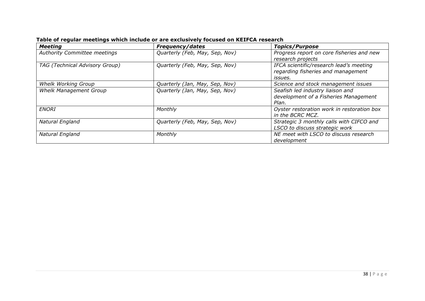| <b>Meeting</b>                 | <b>Frequency/dates</b>         | <b>Topics/Purpose</b>                      |
|--------------------------------|--------------------------------|--------------------------------------------|
| Authority Committee meetings   | Quarterly (Feb, May, Sep, Nov) | Progress report on core fisheries and new  |
|                                |                                | research projects                          |
| TAG (Technical Advisory Group) | Quarterly (Feb, May, Sep, Nov) | IFCA scientific/research lead's meeting    |
|                                |                                | regarding fisheries and management         |
|                                |                                | issues.                                    |
| <b>Whelk Working Group</b>     | Quarterly (Jan, May, Sep, Nov) | Science and stock management issues        |
| <b>Whelk Management Group</b>  | Quarterly (Jan, May, Sep, Nov) | Seafish led industry liaison and           |
|                                |                                | development of a Fisheries Management      |
|                                |                                | Plan.                                      |
| <b>ENORI</b>                   | Monthly                        | Oyster restoration work in restoration box |
|                                |                                | in the BCRC MCZ.                           |
| Natural England                | Quarterly (Feb, May, Sep, Nov) | Strategic 3 monthly calls with CIFCO and   |
|                                |                                | LSCO to discuss strategic work             |
| Natural England                | Monthly                        | NE meet with LSCO to discuss research      |
|                                |                                | development                                |

**Table of regular meetings which include or are exclusively focused on KEIFCA research**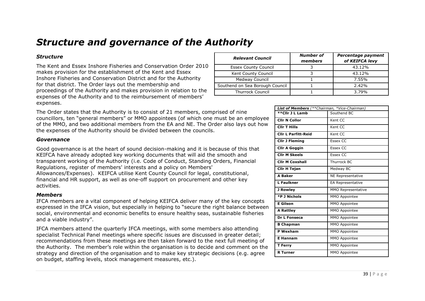## *Structure and governance of the Authority*

## *Structure*

The Kent and Essex Inshore Fisheries and Conservation Order 2010 makes provision for the establishment of the Kent and Essex Inshore Fisheries and Conservation District and for the Authority for that district. The Order lays out the membership and proceedings of the Authority and makes provision in relation to the expenses of the Authority and to the reimbursement of members' expenses.

The Order states that the Authority is to consist of 21 members, comprised of nine councillors, ten "general members" or MMO appointees (of which one must be an employee of the MMO, and two additional members from the EA and NE. The Order also lays out how the expenses of the Authority should be divided between the councils.

#### *Governance*

Good governance is at the heart of sound decision-making and it is because of this that KEIFCA have already adopted key working documents that will aid the smooth and transparent working of the Authority (i.e. Code of Conduct, Standing Orders, Financial Regulations, register of members' interests and a policy on Members' Allowances/Expenses). KEIFCA utilise Kent County Council for legal, constitutional, financial and HR support, as well as one-off support on procurement and other key activities.

#### *Members*

IFCA members are a vital component of helping KEIFCA deliver many of the key concepts expressed in the IFCA vision, but especially in helping to "secure the right balance between social, environmental and economic benefits to ensure healthy seas, sustainable fisheries and a viable industry".

IFCA members attend the quarterly IFCA meetings, with some members also attending specialist Technical Panel meetings where specific issues are discussed in greater detail; recommendations from these meetings are then taken forward to the next full meeting of the Authority. The member's role within the organisation is to decide and comment on the strategy and direction of the organisation and to make key strategic decisions (e.g. agree on budget, staffing levels, stock management measures, etc.).

| <b>Relevant Council</b>         | Number of<br>members | Percentage payment<br>of KEIFCA levy |
|---------------------------------|----------------------|--------------------------------------|
| <b>Essex County Council</b>     |                      | 43.12%                               |
| Kent County Council             |                      | 43.12%                               |
| Medway Council                  |                      | 7.55%                                |
| Southend on Sea Borough Council |                      | 2.42%                                |
| <b>Thurrock Council</b>         |                      | 3.79%                                |

| <b>List of Members</b> (**Chairman, *Vice-Chairman) |                      |  |  |  |  |
|-----------------------------------------------------|----------------------|--|--|--|--|
| **Cllr J L Lamb                                     | Southend BC          |  |  |  |  |
| <b>Clir N Collor</b>                                | Kent CC              |  |  |  |  |
| <b>CIIr T Hills</b>                                 | Kent CC              |  |  |  |  |
| <b>Clir L Parfitt-Reid</b>                          | Kent CC              |  |  |  |  |
| <b>Cllr J Fleming</b>                               | <b>Essex CC</b>      |  |  |  |  |
| <b>Clir A Goggin</b>                                | <b>Essex CC</b>      |  |  |  |  |
| <b>Clir M Skeels</b>                                | <b>Essex CC</b>      |  |  |  |  |
| <b>Cllr M Coxshall</b>                              | Thurrock BC          |  |  |  |  |
| <b>Clir H Tejan</b>                                 | Medway BC            |  |  |  |  |
| <b>A Baker</b>                                      | NE Representative    |  |  |  |  |
| <b>L</b> Faulkner                                   | EA Representative    |  |  |  |  |
| J Rowley                                            | MMO Representative   |  |  |  |  |
| *P J Nichols                                        | MMO Appointee        |  |  |  |  |
| <b>E</b> Gilson                                     | MMO Appointee        |  |  |  |  |
| <b>A Rattley</b>                                    | MMO Appointee        |  |  |  |  |
| Dr L Fonseca                                        | MMO Appointee        |  |  |  |  |
| <b>B</b> Chapman                                    | MMO Appointee        |  |  |  |  |
| <b>P</b> Wexham                                     | MMO Appointee        |  |  |  |  |
| <b>E</b> Hannam                                     | MMO Appointee        |  |  |  |  |
| T Ferry                                             | MMO Appointee        |  |  |  |  |
| <b>R</b> Turner                                     | <b>MMO Appointee</b> |  |  |  |  |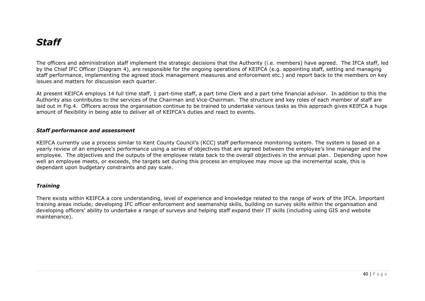## *Staff*

The officers and administration staff implement the strategic decisions that the Authority (i.e. members) have agreed. The IFCA staff, led by the Chief IFC Officer (Diagram 4), are responsible for the ongoing operations of KEIFCA (e.g. appointing staff, setting and managing staff performance, implementing the agreed stock management measures and enforcement etc.) and report back to the members on key issues and matters for discussion each quarter.

At present KEIFCA employs 14 full time staff, 1 part-time staff, a part time Clerk and a part time financial advisor. In addition to this the Authority also contributes to the services of the Chairman and Vice-Chairman. The structure and key roles of each member of staff are laid out in Fig.4. Officers across the organisation continue to be trained to undertake various tasks as this approach gives KEIFCA a huge amount of flexibility in being able to deliver all of KEIFCA's duties and react to events.

#### *Staff performance and assessment*

KEIFCA currently use a process similar to Kent County Council's (KCC) staff performance monitoring system. The system is based on a yearly review of an employee's performance using a series of objectives that are agreed between the employee's line manager and the employee. The objectives and the outputs of the employee relate back to the overall objectives in the annual plan. Depending upon how well an employee meets, or exceeds, the targets set during this process an employee may move up the incremental scale, this is dependant upon budgetary constraints and pay scale.

## *Training*

There exists within KEIFCA a core understanding, level of experience and knowledge related to the range of work of the IFCA. Important training areas include; developing IFC officer enforcement and seamanship skills, building on survey skills within the organisation and developing officers' ability to undertake a range of surveys and helping staff expand their IT skills (including using GIS and website maintenance).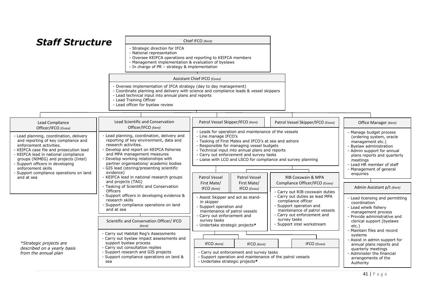| <b>Staff Structure</b>                                                                                                                                                                                                                                                                                                                                 |                                                                                                                                                                                                                                                                                                                                                                                   | Chief IFCO (Kent)                                                                                                                                                                                                                                                                                                                                                                    |                                                                                                                                                                                                                                                  |                                                                                                                                                         |
|--------------------------------------------------------------------------------------------------------------------------------------------------------------------------------------------------------------------------------------------------------------------------------------------------------------------------------------------------------|-----------------------------------------------------------------------------------------------------------------------------------------------------------------------------------------------------------------------------------------------------------------------------------------------------------------------------------------------------------------------------------|--------------------------------------------------------------------------------------------------------------------------------------------------------------------------------------------------------------------------------------------------------------------------------------------------------------------------------------------------------------------------------------|--------------------------------------------------------------------------------------------------------------------------------------------------------------------------------------------------------------------------------------------------|---------------------------------------------------------------------------------------------------------------------------------------------------------|
|                                                                                                                                                                                                                                                                                                                                                        | - Strategic direction for IFCA<br>- National representation<br>- Oversee KEIFCA operations and reporting to KEIFCA members<br>- Management implementation & evaluation of byelaws<br>- In charge of PR - strategy & implementation                                                                                                                                                |                                                                                                                                                                                                                                                                                                                                                                                      |                                                                                                                                                                                                                                                  |                                                                                                                                                         |
|                                                                                                                                                                                                                                                                                                                                                        |                                                                                                                                                                                                                                                                                                                                                                                   | <b>Assistant Chief IFCO (Essex)</b>                                                                                                                                                                                                                                                                                                                                                  |                                                                                                                                                                                                                                                  |                                                                                                                                                         |
|                                                                                                                                                                                                                                                                                                                                                        | - Oversee implementation of IFCA strategy (day to day management)<br>- Coordinate planning and delivery with science and compliance leads & vessel skippers<br>- Lead technical input into annual plans and reports<br>- Lead Training Officer<br>- Lead officer for byelaw review                                                                                                |                                                                                                                                                                                                                                                                                                                                                                                      |                                                                                                                                                                                                                                                  |                                                                                                                                                         |
|                                                                                                                                                                                                                                                                                                                                                        |                                                                                                                                                                                                                                                                                                                                                                                   |                                                                                                                                                                                                                                                                                                                                                                                      |                                                                                                                                                                                                                                                  |                                                                                                                                                         |
| <b>Lead Compliance</b><br>Officer/IFCO (Essex)                                                                                                                                                                                                                                                                                                         | <b>Lead Scientific and Conservation</b><br>Officer/IFCO (Kent)                                                                                                                                                                                                                                                                                                                    | Patrol Vessel Skipper/IFCO (Kent)                                                                                                                                                                                                                                                                                                                                                    | Patrol Vessel Skipper/IFCO (Essex)                                                                                                                                                                                                               | Office Manager (Kent)                                                                                                                                   |
| - Lead planning, coordination, delivery<br>and reporting of key compliance and<br>enforcement activities.<br>- KEIFCA case file and prosecution lead<br>- KEIFCA lead in national compliance<br>groups (NIMEG) and projects (Intel)<br>- Support officers in developing<br>enforcement skills<br>- Support compliance operations on land<br>and at sea | - Lead planning, coordination, delivery and<br>reporting of key environment, data and<br>research activities.<br>- Develop and report on KEIFCA fisheries<br>and MPA management measures<br>- Develop working relationships with<br>partner organisations/ academic bodies<br>- GIS lead (storing/presenting scientific<br>evidence)<br>- KEIFCA lead in national research groups | - Leads for operation and maintenance of the vessels<br>- Line manage IFCO's<br>- Tasking of First Mates and IFCO's at sea and ashore<br>- Responsible for managing vessel budgets<br>- Technical input into annual plans and reports<br>- Carry out enforcement and survey tasks<br>- Liaise with LCO and LSCO for compliance and survey planning<br>Patrol Vessel<br>Patrol Vessel | - Manage budget process<br>(ordering system, oracle<br>management etc.)<br>- Byelaw administration<br>- Admin support for annual<br>plans reports and quarterly<br>meetings<br>- Lead HR member of staff<br>- Management of general<br>enguiries |                                                                                                                                                         |
|                                                                                                                                                                                                                                                                                                                                                        | and projects (TAG)<br>- Tasking of Scientific and Conservation<br>Officers                                                                                                                                                                                                                                                                                                        | First Mate/<br>First Mate/<br>IFCO (Kent)<br>IFCO (Essex)                                                                                                                                                                                                                                                                                                                            | Compliance Officer/IFCO (Essex)                                                                                                                                                                                                                  | Admin Assistant p/t (Kent)                                                                                                                              |
|                                                                                                                                                                                                                                                                                                                                                        | - Support officers in developing evidence &<br>research skills<br>- Support compliance operations on land<br>and at sea                                                                                                                                                                                                                                                           | - Assist Skipper and act as stand-<br>in skipper<br>- Support operation and<br>maintenance of patrol vessels<br>- Carry out enforcement and                                                                                                                                                                                                                                          | - Carry out RIB coxswain duties<br>- Carry out duties as lead MPA<br>compliance officer<br>- Support operation and<br>maintenance of patrol vessels<br>- Carry out enforcement and                                                               | - Lead licensing and permitting<br>coordination<br>- Lead whelk fishery<br>management process                                                           |
|                                                                                                                                                                                                                                                                                                                                                        | Scientific and Conservation Officer/ IFCO<br>(Kent)                                                                                                                                                                                                                                                                                                                               | survey tasks<br>- Undertake strategic projects*                                                                                                                                                                                                                                                                                                                                      | survey tasks<br>- Support intel workstream                                                                                                                                                                                                       | - Provide administrative and<br>clerical support (byelaws<br>$etc.$ )                                                                                   |
| *Strategic projects are<br>described on a yearly basis<br>from the annual plan                                                                                                                                                                                                                                                                         | - Carry out Habitat Reg's Assessments<br>- Carry out byelaw impact assessments and<br>support byelaw process<br>- Carry out consultation replies<br>- Support research and GIS projects<br>- Support compliance operations on land &                                                                                                                                              | IFCO (Kent)<br>IFCO (Kent)<br>- Carry out enforcement and survey tasks<br>- Support operation and maintenance of the patrol vessels                                                                                                                                                                                                                                                  | IFCO (Essex)                                                                                                                                                                                                                                     | - Maintain files and record<br>systems<br>- Assist in admin support for<br>annual plans reports and<br>quarterly meetings<br>- Administer the financial |
|                                                                                                                                                                                                                                                                                                                                                        | sea                                                                                                                                                                                                                                                                                                                                                                               | - Undertake strategic projects*                                                                                                                                                                                                                                                                                                                                                      |                                                                                                                                                                                                                                                  | arrangements of the<br>Authority                                                                                                                        |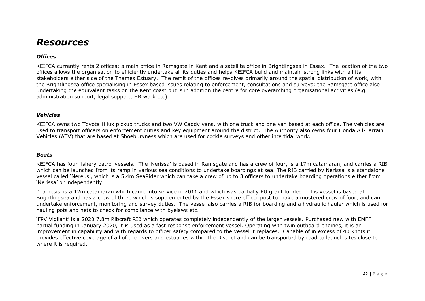## *Resources*

## *Offices*

KEIFCA currently rents 2 offices; a main office in Ramsgate in Kent and a satellite office in Brightlingsea in Essex. The location of the two offices allows the organisation to efficiently undertake all its duties and helps KEIFCA build and maintain strong links with all its stakeholders either side of the Thames Estuary. The remit of the offices revolves primarily around the spatial distribution of work, with the Brightlingsea office specialising in Essex based issues relating to enforcement, consultations and surveys; the Ramsgate office also undertaking the equivalent tasks on the Kent coast but is in addition the centre for core overarching organisational activities (e.g. administration support, legal support, HR work etc).

#### *Vehicles*

KEIFCA owns two Toyota Hilux pickup trucks and two VW Caddy vans, with one truck and one van based at each office. The vehicles are used to transport officers on enforcement duties and key equipment around the district. The Authority also owns four Honda All-Terrain Vehicles (ATV) that are based at Shoeburyness which are used for cockle surveys and other intertidal work.

#### *Boats*

KEIFCA has four fishery patrol vessels. The 'Nerissa' is based in Ramsgate and has a crew of four, is a 17m catamaran, and carries a RIB which can be launched from its ramp in various sea conditions to undertake boardings at sea. The RIB carried by Nerissa is a standalone vessel called 'Nereus', which is a 5.4m SeaRider which can take a crew of up to 3 officers to undertake boarding operations either from 'Nerissa' or independently.

'Tamesis' is a 12m catamaran which came into service in 2011 and which was partially EU grant funded. This vessel is based at Brightlingsea and has a crew of three which is supplemented by the Essex shore officer post to make a mustered crew of four, and can undertake enforcement, monitoring and survey duties. The vessel also carries a RIB for boarding and a hydraulic hauler which is used for hauling pots and nets to check for compliance with byelaws etc.

'FPV Vigilant' is a 2020 7.8m Ribcraft RIB which operates completely independently of the larger vessels. Purchased new with EMFF partial funding in January 2020, it is used as a fast response enforcement vessel. Operating with twin outboard engines, it is an improvement in capability and with regards to officer safety compared to the vessel it replaces. Capable of in excess of 40 knots it provides effective coverage of all of the rivers and estuaries within the District and can be transported by road to launch sites close to where it is required.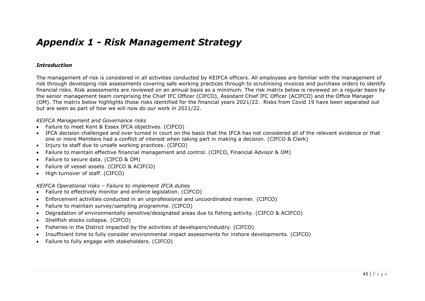## *Appendix 1 - Risk Management Strategy*

#### *Introduction*

The management of risk is considered in all activities conducted by KEIFCA officers. All employees are familiar with the management of risk through developing risk assessments covering safe working practices through to scrutinising invoices and purchase orders to identify financial risks. Risk assessments are reviewed on an annual basis as a minimum. The risk matrix below is reviewed on a regular basis by the senior management team comprising the Chief IFC Officer (CIFCO), Assistant Chief IFC Officer (ACIFCO) and the Office Manager (OM). The matrix below highlights those risks identified for the financial years 2021/22. Risks from Covid 19 have been separated out but are seen as part of how we will now do our work in 2021/22.

#### *KEIFCA Management and Governance risks*

- Failure to meet Kent & Essex IFCA objectives. (CIFCO)
- IFCA decision challenged and over turned in court on the basis that the IFCA has not considered all of the relevant evidence or that one or more Members had a conflict of interest when taking part in making a decision. (CIFCO & Clerk)
- Injury to staff due to unsafe working practices. (CIFCO)
- Failure to maintain effective financial management and control. (CIFCO, Financial Advisor & OM)
- Failure to secure data. (CIFCO & OM)
- Failure of vessel assets. (CIFCO & ACIFCO)
- High turnover of staff. (CIFCO)

#### *KEIFCA Operational risks – Failure to implement IFCA duties*

- Failure to effectively monitor and enforce legislation. (CIFCO)
- Enforcement activities conducted in an unprofessional and uncoordinated manner. (CIFCO)
- Failure to maintain survey/sampling programme. (CIFCO)
- Degradation of environmentally sensitive/designated areas due to fishing activity. (CIFCO & ACIFCO)
- Shellfish stocks collapse. (CIFCO)
- Fisheries in the District impacted by the activities of developers/industry. (CIFCO)
- Insufficient time to fully consider environmental impact assessments for inshore developments. (CIFCO)
- Failure to fully engage with stakeholders. (CIFCO)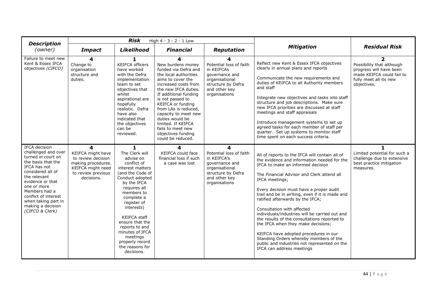| <b>Description</b>                                                                                                                                                                                                                                                               |                                                                                                                             | <b>Risk</b>                                                                                                                                                                                                                                                                                                                                       | High 4 - 3 - 2 - 1 Low                                                                                                                                                                                                                                                                                                                                             |                                                                                                                                         |                                                                                                                                                                                                                                                                                                                                                                                                                                                                                                                                                                                                                                                                            |                                                                                                                                              |
|----------------------------------------------------------------------------------------------------------------------------------------------------------------------------------------------------------------------------------------------------------------------------------|-----------------------------------------------------------------------------------------------------------------------------|---------------------------------------------------------------------------------------------------------------------------------------------------------------------------------------------------------------------------------------------------------------------------------------------------------------------------------------------------|--------------------------------------------------------------------------------------------------------------------------------------------------------------------------------------------------------------------------------------------------------------------------------------------------------------------------------------------------------------------|-----------------------------------------------------------------------------------------------------------------------------------------|----------------------------------------------------------------------------------------------------------------------------------------------------------------------------------------------------------------------------------------------------------------------------------------------------------------------------------------------------------------------------------------------------------------------------------------------------------------------------------------------------------------------------------------------------------------------------------------------------------------------------------------------------------------------------|----------------------------------------------------------------------------------------------------------------------------------------------|
| (owner)                                                                                                                                                                                                                                                                          | <b>Impact</b>                                                                                                               | <b>Likelihood</b>                                                                                                                                                                                                                                                                                                                                 | <b>Financial</b>                                                                                                                                                                                                                                                                                                                                                   | <b>Reputation</b>                                                                                                                       | <b>Mitigation</b>                                                                                                                                                                                                                                                                                                                                                                                                                                                                                                                                                                                                                                                          | <b>Residual Risk</b>                                                                                                                         |
| Failure to meet new<br>Kent & Essex IFCA<br>objectives (CIFCO)                                                                                                                                                                                                                   | 4<br>Change to<br>organisation<br>structure and<br>duties.                                                                  | 1<br><b>KEIFCA officers</b><br>have worked<br>with the Defra<br>implementation<br>team to set<br>objectives that<br>whilst<br>aspirational are<br>hopefully<br>realistic. Defra<br>have also<br>indicated that<br>the objectives<br>can be<br>reviewed.                                                                                           | New burdens money<br>funded via Defra and<br>the local authorities<br>aims to cover the<br>increased costs from<br>the new IFCA duties.<br>If additional funding<br>is not passed to<br>KEIFCA or funding<br>from LAs is reduced,<br>capacity to meet new<br>duties would be<br>limited. If KEIFCA<br>fails to meet new<br>objectives funding<br>could be reduced. | Potential loss of faith<br>in KEIFCAs<br>governance and<br>organisational<br>structure by Defra<br>and other key<br>organisations       | Reflect new Kent & Essex IFCA objectives<br>clearly in annual plans and reports<br>Communicate the new requirements and<br>duties of KEIFCA to all Authority members<br>and staff<br>Integrate new objectives and tasks into staff<br>structure and job descriptions. Make sure<br>new IFCA priorities are discussed at staff<br>meetings and staff appraisals<br>Introduce management systems to set up<br>agreed tasks for each member of staff per<br>quarter. Set up systems to monitor staff<br>time spent on each success criteria.                                                                                                                                  | $\overline{2}$<br>Possibility that although<br>progress will have been<br>made KEIFCA could fail to<br>fully meet all its new<br>objectives. |
| IFCA decision<br>challenged and over<br>turned in court on<br>the basis that the<br>IFCA has not<br>considered all of<br>the relevant<br>evidence or that<br>one or more<br>Members had a<br>conflict of interest<br>when taking part in<br>making a decision<br>(CIFCO & Clerk) | 4<br>KEIFCA might have<br>to review decision<br>making procedures.<br>KEIFCA might need<br>to review previous<br>decisions. | 1<br>The Clerk will<br>advise on<br>conflict of<br>interest matters<br>(and the Code of<br>Conduct adopted<br>by the IFCA<br>requires all<br>members to<br>complete a<br>register of<br>interests)<br><b>KEIFCA staff</b><br>ensure that the<br>reports to and<br>minutes of IFCA<br>meetings<br>properly record<br>the reasons for<br>decisions. | 4<br>KEIFCA could face<br>financial loss if such<br>a case was lost                                                                                                                                                                                                                                                                                                | 4<br>Potential loss of faith<br>in KEIFCA's<br>governance and<br>organisational<br>structure by Defra<br>and other key<br>organisations | All of reports to the IFCA will contain all of<br>the evidence and information needed for the<br>IFCA to make an informed decision<br>The Financial Advisor and Clerk attend all<br>IFCA meetings;<br>Every decision must have a proper audit<br>trail and be in writing, even if it is made and<br>ratified afterwards by the IFCA;<br>Consultation with affected<br>individuals/industries will be carried out and<br>the results of the consultations reported to<br>the IFCA when they make decisions;<br>KEIFCA have adopted procedures in our<br>Standing Orders whereby members of the<br>public and industries not represented on the<br>IFCA can address meetings | Limited potential for such a<br>challenge due to extensive<br>best practice mitigation<br>measures.                                          |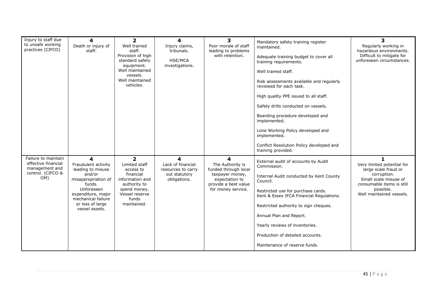| Injury to staff due<br>to unsafe working<br>practices (CIFCO)                            | 4<br>Death or injury of<br>staff.                                                                                                                                                        | $\overline{2}$<br>Well trained<br>staff.<br>Provision of high<br>standard safety<br>equipment.<br>Well maintained<br>vessels.<br>Well maintained<br>vehicles. | 4<br>Injury claims,<br>tribunals.<br><b>HSE/MCA</b><br>investigations.        | 3<br>Poor morale of staff<br>leading to problems<br>with retention.                                                              | Mandatory safety training register<br>maintained.<br>Adequate training budget to cover all<br>training requirements.<br>Well trained staff.<br>Risk assessments available and regularly<br>reviewed for each task.<br>High quality PPE issued to all staff.<br>Safety drills conducted on vessels.<br>Boarding procedure developed and<br>implemented.<br>Lone Working Policy developed and<br>implemented.<br>Conflict Resolution Policy developed and<br>training provided. | 3<br>Regularly working in<br>hazardous environments.<br>Difficult to mitigate for<br>unforeseen circumstances.                                                        |
|------------------------------------------------------------------------------------------|------------------------------------------------------------------------------------------------------------------------------------------------------------------------------------------|---------------------------------------------------------------------------------------------------------------------------------------------------------------|-------------------------------------------------------------------------------|----------------------------------------------------------------------------------------------------------------------------------|-------------------------------------------------------------------------------------------------------------------------------------------------------------------------------------------------------------------------------------------------------------------------------------------------------------------------------------------------------------------------------------------------------------------------------------------------------------------------------|-----------------------------------------------------------------------------------------------------------------------------------------------------------------------|
| Failure to maintain<br>effective financial<br>management and<br>control. (CIFCO &<br>OM) | 4<br>Fraudulent activity<br>leading to misuse<br>and/or<br>misappropriation of<br>funds.<br>Unforeseen<br>expenditure, major<br>mechanical failure<br>or loss of large<br>vessel assets. | $\overline{2}$<br>Limited staff<br>access to<br>financial<br>information and<br>authority to<br>spend money.<br>Vessel reserve<br>funds<br>maintained.        | 4<br>Lack of financial<br>resources to carry<br>out statutory<br>obligations. | 4<br>The Authority is<br>funded through local<br>taxpayer money,<br>expectation to<br>provide a best value<br>for money service. | External audit of accounts by Audit<br>Commission.<br>Internal Audit conducted by Kent County<br>Council.<br>Restricted use for purchase cards.<br>Kent & Essex IFCA Financial Regulations.<br>Restricted authority to sign cheques.<br>Annual Plan and Report.<br>Yearly reviews of inventories.<br>Production of detailed accounts.<br>Maintenance of reserve funds.                                                                                                        | 1<br>Very limited potential for<br>large scale fraud or<br>corruption.<br>Small scale misuse of<br>consumable items is still<br>possible.<br>Well maintained vessels. |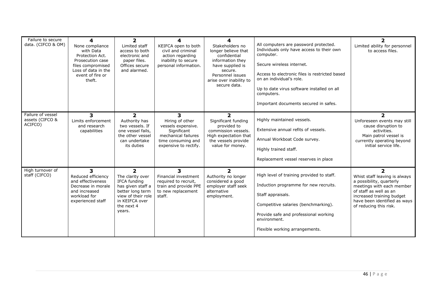| Failure to secure<br>data. (CIFCO & OM)         | 4<br>None compliance<br>with Data<br>Protection Act.<br>Prosecution case<br>files compromised<br>Loss of data in the<br>event of fire or<br>theft. | $\overline{\mathbf{2}}$<br>Limited staff<br>access to both<br>electronic and<br>paper files.<br>Offices secure<br>and alarmed.                                       | 4<br>KEIFCA open to both<br>civil and criminal<br>action regarding<br>inability to secure<br>personal information.              | 4<br>Stakeholders no<br>longer believe that<br>confidential<br>information they<br>have supplied is<br>secure.<br>Personnel issues<br>arise over inability to<br>secure data. | All computers are password protected.<br>Individuals only have access to their own<br>computer.<br>Secure wireless internet.<br>Access to electronic files is restricted based<br>on an individual's role.<br>Up to date virus software installed on all<br>computers.<br>Important documents secured in safes. | 2<br>Limited ability for personnel<br>to access files.                                                                                                                                                                              |
|-------------------------------------------------|----------------------------------------------------------------------------------------------------------------------------------------------------|----------------------------------------------------------------------------------------------------------------------------------------------------------------------|---------------------------------------------------------------------------------------------------------------------------------|-------------------------------------------------------------------------------------------------------------------------------------------------------------------------------|-----------------------------------------------------------------------------------------------------------------------------------------------------------------------------------------------------------------------------------------------------------------------------------------------------------------|-------------------------------------------------------------------------------------------------------------------------------------------------------------------------------------------------------------------------------------|
| Failure of vessel<br>assets (CIFCO &<br>ACIFCO) | 3<br>Limits enforcement<br>and research<br>capabilities                                                                                            | $\overline{2}$<br>Authority has<br>two vessels. If<br>one vessel fails,<br>the other vessel<br>can undertake<br>its duties                                           | 3<br>Hiring of other<br>vessels expensive.<br>Significant<br>mechanical failures<br>time consuming and<br>expensive to rectify. | $\mathbf{2}$<br>Significant funding<br>provided to<br>commission vessels.<br>High expectation that<br>the vessels provide<br>value for money.                                 | Highly maintained vessels.<br>Extensive annual refits of vessels.<br>Annual Workboat Code survey.<br>Highly trained staff.<br>Replacement vessel reserves in place                                                                                                                                              | $\overline{\mathbf{2}}$<br>Unforeseen events may still<br>cause disruption to<br>activities.<br>Main patrol vessel is<br>currently operating beyond<br>initial service life.                                                        |
| High turnover of<br>staff (CIFCO)               | 3<br>Reduced efficiency<br>and effectiveness<br>Decrease in morale<br>and increased<br>workload for<br>experienced staff                           | $\overline{\mathbf{2}}$<br>The clarity over<br>IFCA funding<br>has given staff a<br>better long term<br>view of their role<br>in KEIFCA over<br>the next 4<br>years. | 3<br>Financial investment<br>required to recruit,<br>train and provide PPE<br>to new replacement<br>staff.                      | $\overline{2}$<br>Authority no longer<br>considered a good<br>employer staff seek<br>alternative<br>employment.                                                               | High level of training provided to staff.<br>Induction programme for new recruits.<br>Staff appraisals.<br>Competitive salaries (benchmarking).<br>Provide safe and professional working<br>environment.<br>Flexible working arrangements.                                                                      | $\overline{\phantom{a}}$<br>Whist staff leaving is always<br>a possibility, quarterly<br>meetings with each member<br>of staff as well as an<br>increased training budget<br>have been identified as ways<br>of reducing this risk. |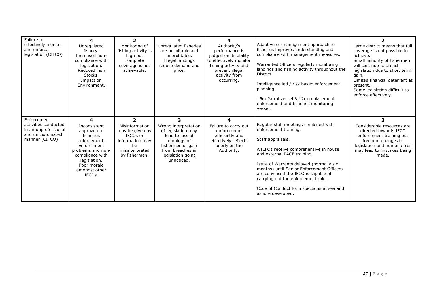| Failure to<br>effectively monitor<br>and enforce<br>legislation (CIFCO)                            | 4<br>Unregulated<br>fishery.<br>Increased non-<br>compliance with<br>legislation.<br><b>Reduced Fish</b><br>Stocks.<br>Impact on<br>Environment.                                            | 2<br>Monitoring of<br>fishing activity is<br>high but<br>complete<br>coverage is not<br>achievable.                         | 4<br>Unregulated fisheries<br>are unsuitable and<br>unprofitable.<br>Illegal landings<br>reduce demand and<br>price.                                           | 4<br>Authority's<br>performance is<br>judged on its ability<br>to effectively monitor<br>fishing activity and<br>prevent illegal<br>activity from<br>occurring. | Adaptive co-management approach to<br>fisheries improves understanding and<br>compliance with management measures.<br>Warranted Officers regularly monitoring<br>landings and fishing activity throughout the<br>District.<br>Intelligence led / risk based enforcement<br>planning.<br>16m Patrol vessel & 12m replacement                                                                           | Large district means that full<br>coverage is not possible to<br>achieve.<br>Small minority of fishermen<br>will continue to breach<br>legislation due to short term<br>gain.<br>Limited financial deterrent at<br>present.<br>Some legislation difficult to<br>enforce effectively. |
|----------------------------------------------------------------------------------------------------|---------------------------------------------------------------------------------------------------------------------------------------------------------------------------------------------|-----------------------------------------------------------------------------------------------------------------------------|----------------------------------------------------------------------------------------------------------------------------------------------------------------|-----------------------------------------------------------------------------------------------------------------------------------------------------------------|-------------------------------------------------------------------------------------------------------------------------------------------------------------------------------------------------------------------------------------------------------------------------------------------------------------------------------------------------------------------------------------------------------|--------------------------------------------------------------------------------------------------------------------------------------------------------------------------------------------------------------------------------------------------------------------------------------|
|                                                                                                    |                                                                                                                                                                                             |                                                                                                                             |                                                                                                                                                                |                                                                                                                                                                 | enforcement and fisheries monitoring<br>vessel.                                                                                                                                                                                                                                                                                                                                                       |                                                                                                                                                                                                                                                                                      |
| Enforcement<br>activities conducted<br>in an unprofessional<br>and uncoordinated<br>manner (CIFCO) | 4<br>Inconsistent<br>approach to<br>fisheries<br>enforcement.<br>Enforcement<br>problems and non-<br>compliance with<br>legislation.<br>Poor morale<br>amongst other<br>IFCO <sub>s</sub> . | $\overline{2}$<br>Misinformation<br>may be given by<br>IFCOs or<br>information may<br>be<br>misinterpreted<br>by fishermen. | 3.<br>Wrong interpretation<br>of legislation may<br>lead to loss of<br>earnings of<br>fishermen or gain<br>from breaches in<br>legislation going<br>unnoticed. | 4<br>Failure to carry out<br>enforcement<br>efficiently and<br>effectively reflects<br>poorly on the<br>Authority.                                              | Regular staff meetings combined with<br>enforcement training.<br>Staff appraisals.<br>All IFOs receive comprehensive in house<br>and external PACE training.<br>Issue of Warrants delayed (normally six<br>months) until Senior Enforcement Officers<br>are convinced the IFCO is capable of<br>carrying out the enforcement role.<br>Code of Conduct for inspections at sea and<br>ashore developed. | Considerable resources are<br>directed towards IFCO<br>enforcement training but<br>frequent changes to<br>legislation and human error<br>may lead to mistakes being<br>made.                                                                                                         |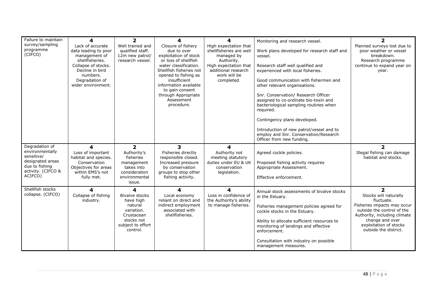| Failure to maintain<br>survey/sampling<br>programme<br>(CIFCO)                                                         | 4<br>Lack of accurate<br>data leading to poor<br>management of<br>shellfisheries.<br>Collapse of stocks.<br>Decline in bird<br>numbers.<br>Degradation of<br>wider environment. | $\overline{2}$<br>Well trained and<br>qualified staff.<br>12m new patrol/<br>research vessel.                                 | 4<br>Closure of fishery<br>due to over<br>exploitation of stock<br>or loss of shellfish<br>water classification.<br>Shellfish fisheries not<br>opened to fishing as<br>insufficient<br>information available<br>to gain consent<br>through Appropriate<br>Assessment<br>procedure. | 4<br>High expectation that<br>shellfisheries are well<br>managed by<br>Authority.<br>High expectation that<br>additional research<br>work will be<br>completed. | Monitoring and research vessel.<br>Work plans developed for research staff and<br>vessel.<br>Research staff well qualified and<br>experienced with local fisheries.<br>Good communication with fishermen and<br>other relevant organisations.<br>Snr. Conservation/ Research Officer<br>assigned to co-ordinate bio-toxin and<br>bacteriological sampling routines when<br>required.<br>Contingency plans developed.<br>Introduction of new patrol/vessel and to<br>employ and Snr. Conservation/Research | $\overline{2}$<br>Planned surveys lost due to<br>poor weather or vessel<br>breakdown.<br>Research programme<br>continue to expand year on<br>year.                                                                       |
|------------------------------------------------------------------------------------------------------------------------|---------------------------------------------------------------------------------------------------------------------------------------------------------------------------------|-------------------------------------------------------------------------------------------------------------------------------|------------------------------------------------------------------------------------------------------------------------------------------------------------------------------------------------------------------------------------------------------------------------------------|-----------------------------------------------------------------------------------------------------------------------------------------------------------------|-----------------------------------------------------------------------------------------------------------------------------------------------------------------------------------------------------------------------------------------------------------------------------------------------------------------------------------------------------------------------------------------------------------------------------------------------------------------------------------------------------------|--------------------------------------------------------------------------------------------------------------------------------------------------------------------------------------------------------------------------|
| Degradation of<br>environmentally<br>sensitive/<br>designated areas<br>due to fishing<br>activity. (CIFCO &<br>ACIFCO) | 4<br>Loss of important<br>habitat and species.<br>Conservation<br>Objectives for areas<br>within EMS's not<br>fully met.                                                        | $\overline{\mathbf{2}}$<br>Authority's<br>fisheries<br>management<br>takes into<br>consideration<br>environmental<br>issue.   | $\overline{\mathbf{3}}$<br>Fisheries directly<br>responsible closed.<br>Increased pressure<br>by conservation<br>groups to stop other<br>fishing activity.                                                                                                                         | 4<br>Authority not<br>meeting statutory<br>duties under EU & UK<br>conservation<br>legislation.                                                                 | Officer from new funding.<br>Agreed cockle policies.<br>Proposed fishing activity requires<br>Appropriate Assessment.<br>Effective enforcement.                                                                                                                                                                                                                                                                                                                                                           | $\overline{\phantom{a}}$<br>Illegal fishing can damage<br>habitat and stocks.                                                                                                                                            |
| Shellfish stocks<br>collapse. (CIFCO)                                                                                  | 4<br>Collapse of fishing<br>industry.                                                                                                                                           | 4<br><b>Bivalve stocks</b><br>have high<br>natural<br>variation.<br>Crustacean<br>stocks not<br>subject to effort<br>control. | 4<br>Local economy<br>reliant on direct and<br>indirect employment<br>associated with<br>shellfisheries.                                                                                                                                                                           | 4<br>Loss in confidence of<br>the Authority's ability<br>to manage fisheries.                                                                                   | Annual stock assessments of bivalve stocks<br>in the Estuary.<br>Fisheries management policies agreed for<br>cockle stocks in the Estuary.<br>Ability to allocate sufficient resources to<br>monitoring of landings and effective<br>enforcement.<br>Consultation with industry on possible<br>management measures.                                                                                                                                                                                       | $\overline{2}$<br>Stocks will naturally<br>fluctuate.<br>Fisheries impacts may occur<br>outside the control of the<br>Authority, including climate<br>change and over<br>exploitation of stocks<br>outside the district. |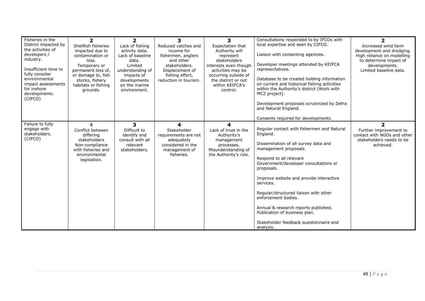| Fisheries in the<br>District impacted by<br>the activities of<br>developers /<br>industry.<br>Insufficient time to<br>fully consider<br>environmental<br>impact assessments<br>for inshore<br>developments.<br>(CIFCO) | $\overline{2}$<br>Shellfish fisheries<br>impacted due to<br>contamination or<br>loss.<br>Temporary or<br>permanent loss of,<br>or damage to, fish<br>stocks, fishery<br>habitats or fishing<br>grounds. | $\overline{\mathbf{2}}$<br>Lack of fishing<br>activity data.<br>Lack of baseline<br>data.<br>Limited<br>understanding of<br>impacts of<br>developments<br>on the marine<br>environment. | 3<br>Reduced catches and<br>income for<br>fishermen, anglers<br>and other<br>stakeholders.<br>Displacement of<br>fishing effort,<br>reduction in tourism. | 3<br>Expectation that<br>Authority will<br>represent<br>stakeholders<br>interests even though<br>activities may be<br>occurring outside of<br>the district or not<br>within KEIFCA's<br>control. | Consultations responded to by IFCOs with<br>local expertise and seen by CIFCO.<br>Liaison with consenting agencies.<br>Developer meetings attended by KEIFCA<br>representatives.<br>Database to be created holding information<br>on current and historical fishing activities<br>within the Authority's district (Work with<br>MCZ project).<br>Development proposals scrutinized by Defra<br>and Natural England.                                                                                      | $\overline{\mathbf{2}}$<br>Increased wind farm<br>development and dredging.<br>High reliance on modelling<br>to determine impact of<br>developments.<br>Limited baseline data. |
|------------------------------------------------------------------------------------------------------------------------------------------------------------------------------------------------------------------------|---------------------------------------------------------------------------------------------------------------------------------------------------------------------------------------------------------|-----------------------------------------------------------------------------------------------------------------------------------------------------------------------------------------|-----------------------------------------------------------------------------------------------------------------------------------------------------------|--------------------------------------------------------------------------------------------------------------------------------------------------------------------------------------------------|----------------------------------------------------------------------------------------------------------------------------------------------------------------------------------------------------------------------------------------------------------------------------------------------------------------------------------------------------------------------------------------------------------------------------------------------------------------------------------------------------------|--------------------------------------------------------------------------------------------------------------------------------------------------------------------------------|
| Failure to fully<br>engage with<br>stakeholders.<br>(CIFCO)                                                                                                                                                            | 4<br>Conflict between<br>differing<br>stakeholders<br>Non-compliance<br>with fisheries and<br>environmental<br>legislation.                                                                             | 3<br>Difficult to<br>identify and<br>consult with all<br>relevant<br>stakeholders.                                                                                                      | 4<br>Stakeholder<br>requirements are not<br>adequately<br>considered in the<br>management of<br>fisheries.                                                | 4<br>Lack of trust in the<br>Authority's<br>management<br>processes.<br>Misunderstanding of<br>the Authority's role.                                                                             | Consents required for developments.<br>Regular contact with fishermen and Natural<br>England.<br>Dissemination of all survey data and<br>management proposals.<br>Respond to all relevant<br>Government/developer consultations or<br>proposals.<br>Improve website and provide interactive<br>services.<br>Regular/structured liaison with other<br>enforcement bodies.<br>Annual & research reports published.<br>Publication of business plan.<br>Stakeholder feedback questionnaire and<br>analysis. | $\overline{\mathbf{2}}$<br>Further improvement to<br>contact with NGOs and other<br>stakeholders needs to be<br>achieved.                                                      |